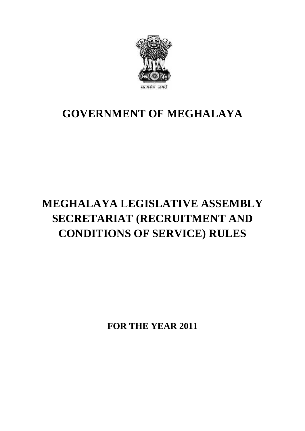

# **GOVERNMENT OF MEGHALAYA**

# **MEGHALAYA LEGISLATIVE ASSEMBLY SECRETARIAT (RECRUITMENT AND CONDITIONS OF SERVICE) RULES**

**FOR THE YEAR 2011**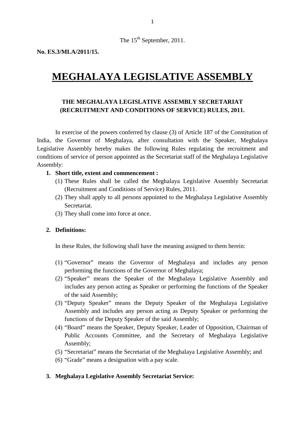The 15<sup>th</sup> September, 2011.

**No. ES.3/MLA/2011/15.**

# **MEGHALAYA LEGISLATIVE ASSEMBLY**

# **EGHALAYA LEGISLATIVE ASSEMBLY<br>THE MEGHALAYA LEGISLATIVE ASSEMBLY SECRETARIAT<br>RECRUITMENT AND CONDITIONS OF SERVICE) RULES, 2011. (RECRUITMENT AND CONDITIONS OF SERVICE) RULES, 2011.**

In exercise of the powers conferred by clause (3) of Article 187 of the Constitution of India, the Governor of Meghalaya, after consultation with the Speaker, Meghalaya In exercise of the powers conferred by clause (3) of Article 187 of the Constitution of India, the Governor of Meghalaya, after consultation with the Speaker, Meghalaya Legislative Assembly hereby makes the following Rules conditions of service of person appointed as the Secretariat staff of the Meghalaya Legislative Assembly: 1. Short title, extent and commencement in the Meghalaya, after consultary<br>
1. Short title, extent and commencement :<br>
1. Short title, extent and commencement :<br>
1. These Rules shall be called the Meghala tive Assembly hereby makes the following Rules regulating the recruitment and<br>ons of service of person appointed as the Secretariat staff of the Meghalaya Legislative<br>oly:<br>**Short title, extent and commencement :**<br>(1) These

- (Recruitment and Conditions of Service) Rules, 2011.
- Short title, extent and commencement :<br>
(1) These Rules shall be called the Meghalaya Legislative Assembly Secretariat<br>
(Recruitment and Conditions of Service) Rules, 2011.<br>
(2) They shall apply to all persons appointed to Secretariat. (1) These Rules shall be called the Meg<br>(Recruitment and Conditions of Service<br>(2) They shall apply to all persons appoint<br>Secretariat.<br>(3) They shall come into force at once. (2) They shall app<br>Secretariat.<br>(3) They shall com<br>**2. Definitions:** 
	-

In these Rules, the following shall have the meaning assigned to them herein:<br>In these Rules, the following shall have the meaning assigned to them herein:

- (1) "Governor" means the Governor of Meghalaya and includes any person performing the functions of the Governor of Meghalaya;
- (2) "Speaker" means the Speaker of the Meghalaya Legislative Assembly and includes any person acting as Speaker or performing the functions of the Speaker of the said Assembly;
- (3) "Deputy Speaker" means the Deputy Speaker of the Meghalaya Legislative Assembly and includes any person acting as Deputy Speaker or performing the includes any person acting as Speaker or performing the functions of the Speaker<br>
of the said Assembly;<br>
(3) "Deputy Speaker" means the Deputy Speaker of the Meghalaya Legislative<br>
Assembly and includes any person acting a
- Public Accounts Committee, and the Secretary of Meghalaya Legislative Assembly;
- (5) "Secretariat" means the Secretariat of the Meghalaya Legislative Assembly; and
- (6) "Grade" means a designation with a pay scale.

### **3. Meghalaya Legislative Assembly Secretariat Service:**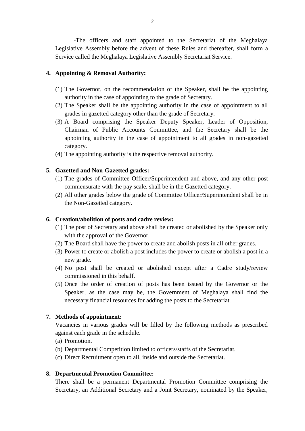-The officers and staff appointed to the Secretariat of the Meghalaya 2<br>
-The officers and staff appointed to the Secretariat of the Meghalaya<br>
Legislative Assembly before the advent of these Rules and thereafter, shall form a<br>
Service called the Meghalaya Legislative Assembly Secretariat Se Service called the Meghalaya Legislative Assembly Secretariat Service. The officers and staff appointe<br>
Legislative Assembly before the advent contract Service called the Meghalaya Legislative A<br> **4. Appointing & Removal Authority:** 

- Service called the Meghalaya Legislative Assembly Secretariat Service.<br> **Appointing & Removal Authority:**<br>
(1) The Governor, on the recommendation of the Speaker, shall be the appointing<br>
authority in the case of appointin authority in the case of appointing to the grade of Secretary.
- (1) The Governor, on the recommendation of the Speaker, shall be the appointing<br>authority in the case of appointing to the grade of Secretary.<br>(2) The Speaker shall be the appointing authority in the case of appointment to grades in gazetted category other than the grade of Secretary.
- (1) The Governor, on the recommendation of the Speaker, shall be the appointing<br>authority in the case of appointing to the grade of Secretary.<br>(2) The Speaker shall be the appointing authority in the case of appointment to Chairman of Public Accounts Committee, and the Secretary shall be the appointing authority in the case of appointment to all grades in non-gazetted category. (3) A Board comprising the Speaker Deputy Speaker, Leader<br>Chairman of Public Accounts Committee, and the Secreta<br>appointing authority in the case of appointment to all grades<br>category.<br>(4) The appointing authority is the r appointing authority in the case of ap<br>category.<br>(4) The appointing authority is the respectiv<br>5. Gazetted and Non-Gazetted grades:<br>(1) The grades of Committee Officer/Super
	-

- (4) The appointing authority is the respective removal authority.<br> **Gazetted and Non-Gazetted grades:**<br>
(1) The grades of Committee Officer/Superintendent and above, and any other post<br>
commensurate with the pay scale, sha commensurate with the pay scale, shall be in the Gazetted category.
- Gazetted and Non-Gazetted grades:<br>
(1) The grades of Committee Officer/Superintendent and above, and any other post<br>
commensurate with the pay scale, shall be in the Gazetted category.<br>
(2) All other grades below the grade the Non-Gazetted category. **6. Creation/abolition of posts and cadre review:**<br> **6. Creation/abolition of posts and cadre review:**<br> **6. Creation/abolition of posts and cadre review:**<br> **6. Creation/abolition of posts and cadre review:**<br> **6. Creation/a**

- (2) All other grades below the grade of Committee Officer/Superintendent shall be in<br>the Non-Gazetted category.<br> **6.** Creation/abolition of posts and cadre review:<br>
(1) The post of Secretary and above shall be created or with the approval of the Governor. Creation/abolition of posts and cadre review:<br>
(1) The post of Secretary and above shall be created or abolished by the Speaker only<br>
with the approval of the Governor.<br>
(2) The Board shall have the power to create and abo Creation/abolition of posts and cadre review:<br>
(1) The post of Secretary and above shall be created or abolished by the Speaker only<br>
with the approval of the Governor.<br>
(2) The Board shall have the power to create and abo
	-
	- new grade.
	- with the approval of the Governor.<br>
	(2) The Board shall have the power to create and abolish posts in all other grades.<br>
	(3) Power to create or abolish a post includes the power to create or abolish a post in a<br>
	new grade. commissioned in this behalf. (4) No post shall be created or abolished except after a Cadre study/review<br>commissioned in this behalf.<br>(5) Once the order of creation of posts has been issued by the Governor or the<br>Speaker, as the case may be, the Gover
	- (3) Power to create or abolish a post includes the power to create or abolish a post in a<br>new grade.<br>(4) No post shall be created or abolished except after a Cadre study/review<br>commissioned in this behalf.<br>(5) Once the ord necessary financial resources for adding the posts to the Secretariat. (5) Once the order of creation of posts has been issued by the Governor or the

Vacancies in various grades will be filled by the following methods as prescribed against each grade in the schedule. **7. Methods of appointment:**<br>Vacancies in various grades will be filled by the following methods a<br>against each grade in the schedule.<br>(a) Promotion.<br>(b) Departmental Competition limited to officers/staffs of the Secretari Methods of appointment:<br>
Vacancies in various grades will be filled by the following methods as pr<br>
against each grade in the schedule.<br>
(a) Promotion.<br>
(b) Departmental Competition limited to officers/staffs of the Secret Vacancies in various grades will be filled by the following methods a<br>against each grade in the schedule.<br>(a) Promotion.<br>(b) Departmental Competition limited to officers/staffs of the Secretariat.<br>(c) Direct Recruitment op

- 
- 
- 

**8. Departmental Competition limited to officers/staffs of the Secretariat.**<br> **8. Departmental Promotion Committee:**<br> **8. Departmental Promotion Committee:**<br>
There shall be a permanent Departmental Promotion Committee comp Secretary, an Additional Secretary and a Joint Secretary, nominated by the Speaker,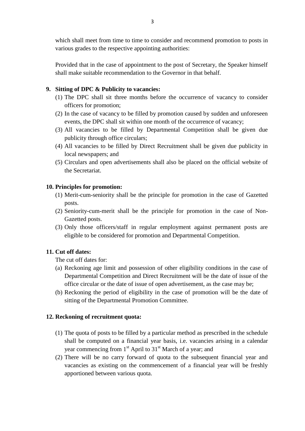which shall meet from time to time to consider and recommend promotion to posts in various grades to the respective appointing authorities:

Provided that in the case of appointment to the post of Secretary, the Speaker himself shall make suitable recommendation to the Governor in that behalf. Provided that in the case of appointment to the p<br>shall make suitable recommendation to the Gove<br>9. Sitting of DPC & Publicity to vacancies:<br>(1) The DPC shall sit three months before the Frovided that in the case of appointment to the post of Secretary, the Speaker himself shall make suitable recommendation to the Governor in that behalf.<br> **Sitting of DPC & Publicity to vacancies:**<br>
(1) The DPC shall sit t

- officers for promotion;
- Sitting of DPC & Publicity to vacancies:<br>
(1) The DPC shall sit three months before the occurrence of vacancy to consider<br>
officers for promotion;<br>
(2) In the case of vacancy to be filled by promotion caused by sudden and ing of DPC & Publicity to vacancies:<br>The DPC shall sit three months before the occurrence of vacancy to con<br>officers for promotion;<br>In the case of vacancy to be filled by promotion caused by sudden and unfore<br>events, the D
- (1) The DPC shall sit three months before the occurrence of vacancy to consider officers for promotion;<br>(2) In the case of vacancy to be filled by promotion caused by sudden and unforeseen events, the DPC shall sit within publicity through office circulars; (2) In the case of vacancy to be filled by promotion caused by sudden and unforeseen<br>events, the DPC shall sit within one month of the occurrence of vacancy;<br>(3) All vacancies to be filled by Departmental Competition shall (3) All vacancies to be filled by Departmental Competition shall be given due<br>publicity through office circulars;<br>(4) All vacancies to be filled by Direct Recruitment shall be given due publicity in<br>local newspapers; and<br>(
- local newspapers; and
- the Secretariat. **10. Principles for promotion:**<br> **10. Principles for promotion:**<br> **10. Principles for promotion:**<br> **10. Principles for promotion:** (5) Circulars and open advertisements shall also be placed on the official website of<br>the Secretariat.<br>**Principles for promotion:**<br>(1) Merit-cum-seniority shall be the principle for promotion in the case of Gazetted<br>posts.

- posts. (1) Merit-cum-seniority shall be the principle for promotion in the case of Gazetted<br>posts.<br>(2) Seniority-cum-merit shall be the principle for promotion in the case of Non-
	- Gazetted posts.
- (3) Only those officers/staff in regular employment against permanent posts are eligible to be considered for promotion and Departmental Competition. Gazetted posts.<br>
(3) Only those officers/s<br>
eligible to be consider<br> **11. Cut off dates:**<br>
The cut off dates for:

- (a) Reckoning age limit and possession of other eligibility conditions in the case of<br>
The cut off dates for:<br>
(a) Reckoning age limit and possession of other eligibility conditions in the case of<br>
Departmental Competition Departmental Competition and Direct Recruitment will be the date of issue of the office circular or the date of issue of open advertisement, as the case may be; The cut off dates for:<br>
(a) Reckoning age limit and possession of other eligibility conditions in the case of<br>
Departmental Competition and Direct Recruitment will be the date of issue of the<br>
office circular or the date o
- sitting of the Departmental Promotion Committee. (b) Reckoning the period of eligibility in the case of promotion will be the date of sitting of the Departmental Promotion Committee.<br>**12. Reckoning of recruitment quota:**

- (1) The quota of posts to be filled by a particular method as prescribed in the schedule<br>(1) The quota of posts to be filled by a particular method as prescribed in the schedule<br>shall be computed on a financial year basis, **Example 3**<br>**Example 3 Computed on a financial year basis, i.e. vacancies arising in a calendar year commencing from**  $1^{st}$  **April to**  $31^{st}$  **March of a year; and** year commencing from  $1<sup>st</sup>$  April to  $31<sup>st</sup>$  March of a year; and (1) The quota of posts to be filled by a particular method as prescribed in the schedule shall be computed on a financial year basis, i.e. vacancies arising in a calendar year commencing from  $1<sup>st</sup>$  April to  $31<sup>st</sup>$
- vacancies as existing on the commencement of a financial year will be freshly apportioned between various quota.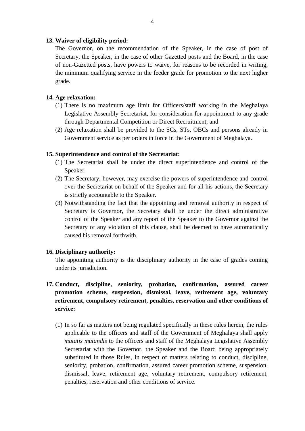**13. Waiver of eligibility period:**<br>The Governor, on the recommen The Governor, on the recommendation of the Speaker, in the case of post of Secretary, the Speaker, in the case of other Gazetted posts and the Board, in the case of non-Gazetted posts, have powers to waive, for reasons to be recorded in writing, the minimum qualifying service in the feeder grade for promotion to the next higher grade. of non-Gazetted posts<br>the minimum qualifyin<br>grade.<br>**14. Age relaxation:**<br>(1) There is no maxi

- (1) There is no maximum age limit for Officers/staff working in the Meghalaya<br>(1) There is no maximum age limit for Officers/staff working in the Meghalaya<br>Legislative Assembly Secretariat, for consideration for appointmen Legislation:<br>
There is no maximum age limit for Officers/staff working in the Meghalaya<br>
Legislative Assembly Secretariat, for consideration for appointment to any grade<br>
through Departmental Competition or Direct Recruitm through Departmental Competition or Direct Recruitment; and Age relaxation:<br>
(1) There is no maximum age limit for Officers/staff working in the Meghalaya<br>
Legislative Assembly Secretariat, for consideration for appointment to any grade<br>
through Departmental Competition or Direct R There is no maximum age limit for Officers/staff working in the Meghalar<br>Legislative Assembly Secretariat, for consideration for appointment to any grad<br>through Departmental Competition or Direct Recruitment; and<br>Age relax
- through Departmental Competition or Direct Recruit<br>
(2) Age relaxation shall be provided to the SCs, STs, (<br>
Government service as per orders in force in the Gov<br> **15. Superintendence and control of the Secretariat:**<br>
(1) (2) Age relaxation shall be provided to the SCs, STs, OBCs and persons already in<br>Government service as per orders in force in the Government of Meghalaya.<br>Superintendence and control of the Secretariat:<br>(1) The Secretaria

- Speaker. 15. Superintendence and control of the Secretariat:<br>
(1) The Secretariat shall be under the direct superintendence and control of the<br>
Speaker.<br>
(2) The Secretary, however, may exercise the powers of superintendence and co
	- over the Secretariat on behalf of the Speaker and for all his actions, the Secretary is strictly accountable to the Speaker.
- (3) Notwithstanding the fact that the appointing and removal authority in respect of Secretary is Governor, the Secretary shall be under the direct administrative control of the Speaker and any report of the Speaker to the Governor against the Secretary of any violation of this clause, shall be deemed to have automatically caused his removal forthwith. 16. Discretary of any violation of this clause, shall be deemed to have automatically<br>
26. Discretary of any violation of this clause, shall be deemed to have automatically<br>
26. Discretary authority:<br>
26. Discretary author

under its jurisdiction. 16. Disciplinary authority:<br>
The appointing authority is the disciplinary authority in the case of grades coming<br>
under its jurisdiction.<br> **17. Conduct, discipline, seniority, probation, confirmation, assured career** 

- **promotion scheme, suspension, dismissal, leave, retirement age, voluntary**<br> **retirement, compulsory retirement, penalties, reservation and other conditions of**<br> **service:**<br>
(1) In so far as matters not being regulated spe **retirement, compulsory retirement, penalties, reservation and other conditions of service:**
	- (1) In so far as matters not being regulated specifically in these rules herein, the rules applicable to the officers and staff of the Government of Meghalaya shall apply *mutatis mutandis* to the officers and staff of the Meghalaya Legislative Assembly Secretariat with the Governor, the Speaker and the Board being appropriately In so far as matters not being regulated specifically in these rules herein, the rules applicable to the officers and staff of the Government of Meghalaya shall apply *mutatis mutandis* to the officers and staff of the Meg seniority, probation, confirmation, assured career promotion scheme, suspension, dismissal, leave, retirement age, voluntary retirement, compulsory retirement, penalties, reservation and other conditions of service.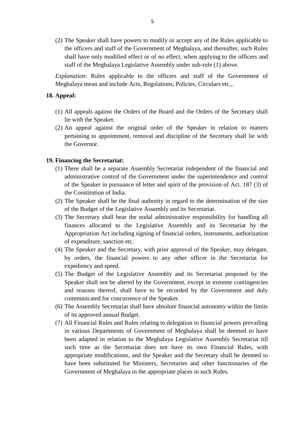(2) The Speaker shall have powers to modify or accept any of the Rules applicable to the officers and staff of the Government of Meghalaya, and thereafter, such Rules shall have only modified effect or of no effect, when applying to the officers and staff of the Meghalaya Legislative Assembly under sub-rule (1) above.

*Explanation*: Rules applicable to the officers and staff of the Government of Meghalaya mean and include Acts, Regulations, Policies, Circulars etc.,. shart have<br>staff of the<br>*Explanation*:<br>Meghalaya me<br>**18. Appeal:** 

- Explanation: Rules applicable to the officers and staff of the Government of Meghalaya mean and include Acts, Regulations, Policies, Circulars etc.,.<br> **Appeal:**<br>
(1) All appeals against the Orders of the Board and the Orde lie with the Speaker.
- (1) All appeals against the Orders of the Board and the Orders of the Secretary shall<br>lie with the Speaker.<br>(2) An appeal against the original order of the Speaker in relation to matters<br>pertaining to appointment, removal pertaining to appointment, removal and discipline of the Secretary shall lie with the Governor. (2) An appeal against the original order of the Speaker in relation to matters pertaining to appointment, removal and discipline of the Secretary shall lie with the Governor.<br>**19. Financing the Secretariat:** pertaining to appointment, removal and discipline of the Secretary shall lie with<br>the Governor.<br>**Financing the Secretariat:**<br>(1) There shall be a separate Assembly Secretariat independent of the financial and<br>administrativ

- administrative control of the Government under the superintendence and control of the Speaker in pursuance of letter and spirit of the provision of Act. 187 (3) of the Constitution of India. (1) There shall be a separate Assembly Secretariat independent of the financial and administrative control of the Government under the superintendence and control of the Speaker in pursuance of letter and spirit of the pr
- of the Budget of the Legislative Assembly and its Secretariat. (2) The Speaker shall be the final authority in regard to the determination of the size<br>of the Budget of the Legislative Assembly and its Secretariat.<br>(3) The Secretary shall bear the nodal administrative responsibility fo
- finances allocated to the Legislative Assembly and its Secretariat by the Appropriation Act including signing of financial orders, instruments, authorization of expenditure, sanction etc. (3) The Secretary shall bear the nodal administrative responsibility for handling all finances allocated to the Legislative Assembly and its Secretariat by the Appropriation Act including signing of financial orders, instr
- expediency and speed. The Speaker and the Secretary, with prior approval of the Speaker, may delegate,<br>
(4) The Speaker and the Secretary, with prior approval of the Speaker, may delegate,<br>
by orders, the financial powers to any other officer i
- Speaker shall not be altered by the Government, except in extreme contingencies and reasons thereof, shall have to be recorded by the Government and duly communicated for concurrence of the Speaker. (5) The Budget of the Legislative Assembly and its Secretariat proposed by the Speaker shall not be altered by the Government, except in extreme contingencies and reasons thereof, shall have to be recorded by the Governmen
- of its approved annual Budget. (6) The Assembly Secretariat shall have absolute financial autonomy within the limits<br>of its approved annual Budget.<br>(7) All Financial Rules and Rules relating to delegation to financial powers prevailing
- in various Departments of Government of Meghalaya shall be deemed to have been adapted in relation to the Meghalaya Legislative Assembly Secretariat till such time as the Secretariat does not have its own Financial Rules, with appropriate modifications, and the Speaker and the Secretary shall be deemed to have been substituted for Ministers, Secretaries and other functionaries of the Government of Meghalaya in the appropriate places in such Rules.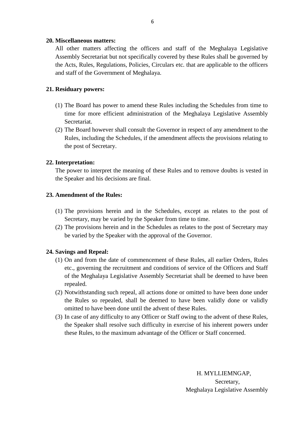**20. Miscellaneous matters:** All other matters affecting the officers and staff of the Meghalaya Legislative 20. Miscellaneous matters:<br>All other matters affecting the officers and staff of the Meghalaya Legislative<br>Assembly Secretariat but not specifically covered by these Rules shall be governed by the Acts, Rules, Regulations, Policies, Circulars etc. that are applicable to the officers and staff of the Government of Meghalaya. **21. Residuary powers:**<br>**21. Residuary powers:** 

- (1) The Board has power to amend these Rules including the Schedules from time to<br>(1) The Board has power to amend these Rules including the Schedules from time to time for more efficient administration of the Meghalaya Legislative Assembly Secretariat. (1) The Board has power to amend these Rules including the Schedules from time to time for more efficient administration of the Meghalaya Legislative Assembly Secretariat.<br>
(2) The Board however shall consult the Governor The Board has power to amend these Rules including the Schedules from time to time for more efficient administration of the Meghalaya Legislative Assembly Secretariat.<br>The Board however shall consult the Governor in respec
- the post of Secretary. (2) The Board howeve<br>
Rules, including the<br>
the post of Secreta<br> **22. Interpretation:**<br>
The power to interpre Rules, including the Schedules, if the amendment affects the provisions relating to<br>the post of Secretary.<br>The power to interpret the meaning of these Rules and to remove doubts is vested in<br>the Speaker and his decisions a

the Speaker and his decisions are final. **22. Interpretation:**<br>The power to interpret the meani<br>the Speaker and his decisions are<br>**23. Amendment of the Rules:** 

- (1) The provisions herein and in the Schedules, except as relates to the post of Secretary, may be varied by the Speaker from time to time. Secretary, may be varied by the Speaker from time to time.
- (1) The provisions herein and in the Schedules, except as relates to the post of Secretary, may be varied by the Speaker from time to time.<br>(2) The provisions herein and in the Schedules as relates to the post of Secretary be varied by the Speaker with the approval of the Governor. Secretary, may be varies<br>
(2) The provisions herein as<br>
be varied by the Speake<br> **24. Savings and Repeal:**<br>
(1) On and from the date of

- (2) The provisions herein and in the Schedules as relates to the post of Secretary may<br>be varied by the Speaker with the approval of the Governor.<br>**Savings and Repeal:**<br>(1) On and from the date of commencement of these Rul etc., governing the recruitment and conditions of service of the Officers and Staff of the Meghalaya Legislative Assembly Secretariat shall be deemed to have been repealed. (1) On and from the date of commencement of these Rules, all earlier Orders, Rules<br>etc., governing the recruitment and conditions of service of the Officers and Staff<br>of the Meghalaya Legislative Assembly Secretariat shall
- the Rules so repealed, shall be deemed to have been validly done or validly omitted to have been done until the advent of these Rules. (2) Notwithstanding such repeal, all actions done or omitted to have been done under<br>the Rules so repealed, shall be deemed to have been validly done or validly<br>omitted to have been done until the advent of these Rules.<br>(3
- the Speaker shall resolve such difficulty in exercise of his inherent powers under these Rules, to the maximum advantage of the Officer or Staff concerned.

H. MYLLIEMNGAP, Secretary, Meghalaya Legislative Assembly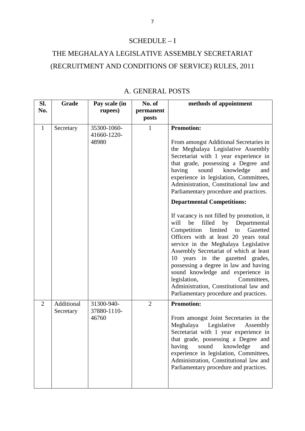# SCHEDULE – I

# SCHEDULE – I<br>
THE MEGHALAYA LEGISLATIVE ASSEMBLY SECRETARIAT<br>
(RECRUITMENT AND CONDITIONS OF SERVICE) RULES, 2011 EXAMPLE ASSEMBLY SECH<br>CONDITIONS OF SERVICE) R<br>A. GENERAL POSTS<br>n | No. of | methods of

|                | A. GENERAL POSTS        |                                     |                              |                                                                                                                                                                                                                                                                                                                                                                                                                                                                                                                                                                                                                                                                                                                                                                                                                                                                                                 |  |
|----------------|-------------------------|-------------------------------------|------------------------------|-------------------------------------------------------------------------------------------------------------------------------------------------------------------------------------------------------------------------------------------------------------------------------------------------------------------------------------------------------------------------------------------------------------------------------------------------------------------------------------------------------------------------------------------------------------------------------------------------------------------------------------------------------------------------------------------------------------------------------------------------------------------------------------------------------------------------------------------------------------------------------------------------|--|
| SI.<br>No.     | Grade                   | Pay scale (in<br>rupees)            | No. of<br>permanent<br>posts | methods of appointment                                                                                                                                                                                                                                                                                                                                                                                                                                                                                                                                                                                                                                                                                                                                                                                                                                                                          |  |
| $\mathbf{1}$   | Secretary               | 35300-1060-<br>41660-1220-<br>48980 | $\mathbf{1}$                 | <b>Promotion:</b><br>From amongst Additional Secretaries in<br>the Meghalaya Legislative Assembly<br>Secretariat with 1 year experience in<br>that grade, possessing a Degree and<br>sound<br>knowledge<br>having<br>and<br>experience in legislation, Committees,<br>Administration, Constitutional law and<br>Parliamentary procedure and practices.<br><b>Departmental Competitions:</b><br>If vacancy is not filled by promotion, it<br>be<br>filled<br>by Departmental<br>will<br>Competition<br>limited<br>Gazetted<br>to<br>Officers with at least 20 years total<br>service in the Meghalaya Legislative<br>Assembly Secretariat of which at least<br>10 years in the gazetted grades,<br>possessing a degree in law and having<br>sound knowledge and experience in<br>legislation,<br>Committees,<br>Administration, Constitutional law and<br>Parliamentary procedure and practices. |  |
| $\overline{2}$ | Additional<br>Secretary | 31300-940-<br>37880-1110-<br>46760  | $\overline{2}$               | <b>Promotion:</b><br>From amongst Joint Secretaries in the<br>Meghalaya<br>Legislative<br>Assembly<br>Secretariat with 1 year experience in<br>that grade, possessing a Degree and<br>having<br>sound<br>knowledge<br>and<br>experience in legislation, Committees,<br>Administration, Constitutional law and<br>Parliamentary procedure and practices.                                                                                                                                                                                                                                                                                                                                                                                                                                                                                                                                         |  |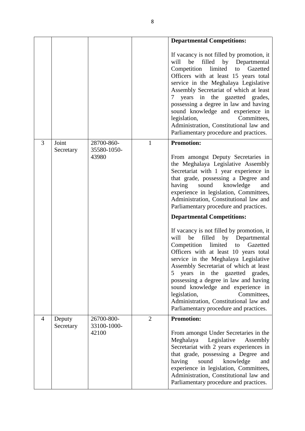|   |                     |                           | 8              |                                                                                                                                                                                                                                                                                                                                                                                                                                                                                                          |
|---|---------------------|---------------------------|----------------|----------------------------------------------------------------------------------------------------------------------------------------------------------------------------------------------------------------------------------------------------------------------------------------------------------------------------------------------------------------------------------------------------------------------------------------------------------------------------------------------------------|
|   |                     |                           |                | <b>Departmental Competitions:</b>                                                                                                                                                                                                                                                                                                                                                                                                                                                                        |
|   |                     |                           |                | If vacancy is not filled by promotion, it<br>filled<br>will<br>be<br>by Departmental<br>Competition<br>limited<br>Gazetted<br>to<br>Officers with at least 15 years total<br>service in the Meghalaya Legislative<br>Assembly Secretariat of which at least<br>years in the gazetted grades,<br>7<br>possessing a degree in law and having<br>sound knowledge and experience in<br>legislation,<br>Committees,<br>Administration, Constitutional law and<br>Parliamentary procedure and practices.       |
| 3 | Joint<br>Secretary  | 28700-860-<br>35580-1050- | 1              | <b>Promotion:</b>                                                                                                                                                                                                                                                                                                                                                                                                                                                                                        |
|   |                     | 43980                     |                | From amongst Deputy Secretaries in<br>the Meghalaya Legislative Assembly<br>Secretariat with 1 year experience in<br>that grade, possessing a Degree and<br>knowledge<br>having<br>sound<br>and<br>experience in legislation, Committees,<br>Administration, Constitutional law and<br>Parliamentary procedure and practices.                                                                                                                                                                            |
|   |                     |                           |                | <b>Departmental Competitions:</b>                                                                                                                                                                                                                                                                                                                                                                                                                                                                        |
|   |                     |                           |                | If vacancy is not filled by promotion, it<br>be<br>filled<br>will<br>by Departmental<br>limited<br>Competition<br>Gazetted<br>to<br>Officers with at least 10 years total<br>service in the Meghalaya Legislative<br>Assembly Secretariat of which at least<br>years in the<br>gazetted<br>5<br>grades,<br>possessing a degree in law and having<br>sound knowledge and experience in<br>legislation,<br>Committees,<br>Administration, Constitutional law and<br>Parliamentary procedure and practices. |
| 4 | Deputy<br>Secretary | 26700-800-<br>33100-1000- | $\overline{2}$ | <b>Promotion:</b>                                                                                                                                                                                                                                                                                                                                                                                                                                                                                        |
|   |                     | 42100                     |                | From amongst Under Secretaries in the<br>Meghalaya<br>Legislative<br>Assembly<br>Secretariat with 2 years experiences in<br>that grade, possessing a Degree and<br>having<br>sound<br>knowledge<br>and<br>experience in legislation, Committees,<br>Administration, Constitutional law and<br>Parliamentary procedure and practices.                                                                                                                                                                     |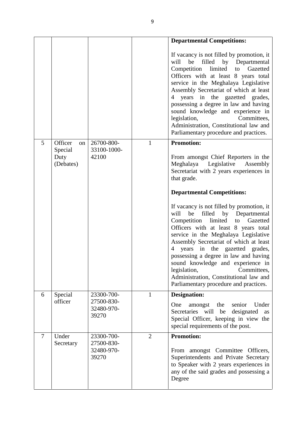|                |                          |                                   |                | <b>Departmental Competitions:</b>                                                                                                                                                                                                                                                                                                                                                                                                                                                                              |
|----------------|--------------------------|-----------------------------------|----------------|----------------------------------------------------------------------------------------------------------------------------------------------------------------------------------------------------------------------------------------------------------------------------------------------------------------------------------------------------------------------------------------------------------------------------------------------------------------------------------------------------------------|
|                |                          |                                   |                | If vacancy is not filled by promotion, it<br>will<br>be<br>filled<br>by Departmental<br>Competition limited<br>to Gazetted<br>Officers with at least 8 years total<br>service in the Meghalaya Legislative<br>Assembly Secretariat of which at least<br>years in the gazetted grades,<br>4<br>possessing a degree in law and having<br>sound knowledge and experience in<br>legislation,<br>Committees,<br>Administration, Constitutional law and<br>Parliamentary procedure and practices.                    |
| 5              | Officer<br>on<br>Special | 26700-800-<br>33100-1000-         | $\mathbf{1}$   | <b>Promotion:</b>                                                                                                                                                                                                                                                                                                                                                                                                                                                                                              |
|                | Duty<br>(Debates)        | 42100                             |                | From amongst Chief Reporters in the<br>Meghalaya Legislative<br>Assembly<br>Secretariat with 2 years experiences in<br>that grade.                                                                                                                                                                                                                                                                                                                                                                             |
|                |                          |                                   |                | <b>Departmental Competitions:</b>                                                                                                                                                                                                                                                                                                                                                                                                                                                                              |
|                |                          |                                   |                | If vacancy is not filled by promotion, it<br>filled<br>by Departmental<br>will<br>be<br>limited<br>Competition<br>Gazetted<br>to<br>Officers with at least 8 years total<br>service in the Meghalaya Legislative<br>Assembly Secretariat of which at least<br>years in the gazetted grades,<br>$\overline{4}$<br>possessing a degree in law and having<br>sound knowledge and experience in<br>legislation,<br>Committees,<br>Administration, Constitutional law and<br>Parliamentary procedure and practices. |
| 6              | Special                  | 23300-700-                        | $\mathbf{1}$   | <b>Designation:</b>                                                                                                                                                                                                                                                                                                                                                                                                                                                                                            |
|                | officer                  | 27500-830-<br>32480-970-<br>39270 |                | One<br>amongst<br>the<br>senior<br>Under<br>Secretaries will be<br>designated<br>as<br>Special Officer, keeping in view the<br>special requirements of the post.                                                                                                                                                                                                                                                                                                                                               |
| $\overline{7}$ | Under<br>Secretary       | 23300-700-<br>27500-830-          | $\overline{2}$ | <b>Promotion:</b>                                                                                                                                                                                                                                                                                                                                                                                                                                                                                              |
|                |                          | 32480-970-<br>39270               |                | From amongst Committee Officers,<br>Superintendents and Private Secretary<br>to Speaker with 2 years experiences in<br>any of the said grades and possessing a<br>Degree                                                                                                                                                                                                                                                                                                                                       |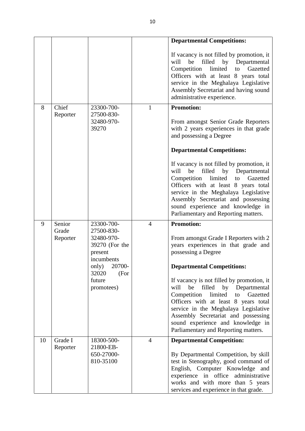|    |                     |                                                                                     |                | <b>Departmental Competitions:</b>                                                                                                                                                                                                                                                                                                    |
|----|---------------------|-------------------------------------------------------------------------------------|----------------|--------------------------------------------------------------------------------------------------------------------------------------------------------------------------------------------------------------------------------------------------------------------------------------------------------------------------------------|
|    |                     |                                                                                     |                | If vacancy is not filled by promotion, it<br>filled<br>by Departmental<br>will<br>be<br>limited<br>Competition<br>Gazetted<br>to<br>Officers with at least 8 years total<br>service in the Meghalaya Legislative<br>Assembly Secretariat and having sound<br>administrative experience.                                              |
| 8  | Chief               | 23300-700-<br>27500-830-                                                            | 1              | <b>Promotion:</b>                                                                                                                                                                                                                                                                                                                    |
|    | Reporter            | 32480-970-<br>39270                                                                 |                | From amongst Senior Grade Reporters<br>with 2 years experiences in that grade<br>and possessing a Degree                                                                                                                                                                                                                             |
|    |                     |                                                                                     |                | <b>Departmental Competitions:</b>                                                                                                                                                                                                                                                                                                    |
|    |                     |                                                                                     |                | If vacancy is not filled by promotion, it<br>filled<br>by Departmental<br>will<br>be<br>limited<br>Competition<br>Gazetted<br>to<br>Officers with at least 8 years total<br>service in the Meghalaya Legislative<br>Assembly Secretariat and possessing<br>sound experience and knowledge in<br>Parliamentary and Reporting matters. |
| 9  | Senior              | 23300-700-                                                                          | $\overline{4}$ | <b>Promotion:</b>                                                                                                                                                                                                                                                                                                                    |
|    | Grade<br>Reporter   | 27500-830-<br>32480-970-<br>39270 (For the<br>present<br>incumbents<br>only) 20700- |                | From amongst Grade I Reporters with 2<br>years experiences in that grade and<br>possessing a Degree<br><b>Departmental Competitions:</b>                                                                                                                                                                                             |
|    |                     | 32020<br>(For<br>future<br>promotees)                                               |                | If vacancy is not filled by promotion, it<br>be<br>filled by Departmental<br>will<br>Competition<br>limited<br>Gazetted<br>to<br>Officers with at least 8 years total<br>service in the Meghalaya Legislative<br>Assembly Secretariat and possessing<br>sound experience and knowledge in<br>Parliamentary and Reporting matters.    |
| 10 | Grade I<br>Reporter | 18300-500-<br>21800-EB-<br>650-27000-<br>810-35100                                  | $\overline{4}$ | <b>Departmental Competition:</b><br>By Departmental Competition, by skill<br>test in Stenography, good command of<br>English, Computer Knowledge and<br>experience in office administrative<br>works and with more than 5 years                                                                                                      |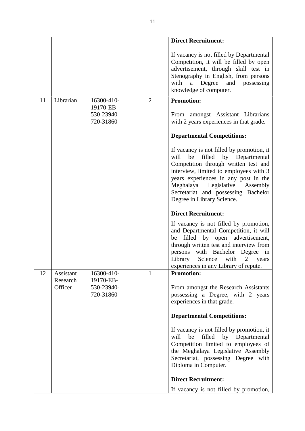|    |                       |                                                    |                | <b>Direct Recruitment:</b>                                                                                                                                                                                                                                                                                         |
|----|-----------------------|----------------------------------------------------|----------------|--------------------------------------------------------------------------------------------------------------------------------------------------------------------------------------------------------------------------------------------------------------------------------------------------------------------|
|    |                       |                                                    |                | If vacancy is not filled by Departmental<br>Competition, it will be filled by open<br>advertisement, through skill test in<br>Stenography in English, from persons<br>with a Degree and possessing<br>knowledge of computer.                                                                                       |
| 11 | Librarian             | 16300-410-<br>19170-EB-<br>530-23940-<br>720-31860 | $\overline{2}$ | <b>Promotion:</b><br>From amongst Assistant Librarians<br>with 2 years experiences in that grade.                                                                                                                                                                                                                  |
|    |                       |                                                    |                | <b>Departmental Competitions:</b>                                                                                                                                                                                                                                                                                  |
|    |                       |                                                    |                | If vacancy is not filled by promotion, it<br>filled by Departmental<br>will<br>be<br>Competition through written test and<br>interview, limited to employees with 3<br>years experiences in any post in the<br>Meghalaya Legislative Assembly<br>Secretariat and possessing Bachelor<br>Degree in Library Science. |
|    |                       |                                                    |                | <b>Direct Recruitment:</b>                                                                                                                                                                                                                                                                                         |
|    |                       |                                                    |                | If vacancy is not filled by promotion,<br>and Departmental Competition, it will<br>be filled by open advertisement,<br>through written test and interview from<br>persons with Bachelor Degree in<br>Library<br>Science with 2 years<br>experiences in any Library of repute.                                      |
| 12 | Assistant<br>Research | 16300-410-<br>19170-EB-                            | 1              | <b>Promotion:</b>                                                                                                                                                                                                                                                                                                  |
|    | Officer               | 530-23940-<br>720-31860                            |                | From amongst the Research Assistants<br>possessing a Degree, with 2 years<br>experiences in that grade.                                                                                                                                                                                                            |
|    |                       |                                                    |                | <b>Departmental Competitions:</b>                                                                                                                                                                                                                                                                                  |
|    |                       |                                                    |                | If vacancy is not filled by promotion, it<br>be<br>will<br>filled by Departmental<br>Competition limited to employees of<br>the Meghalaya Legislative Assembly<br>Secretariat, possessing Degree with<br>Diploma in Computer.                                                                                      |
|    |                       |                                                    |                | <b>Direct Recruitment:</b>                                                                                                                                                                                                                                                                                         |
|    |                       |                                                    |                | If vacancy is not filled by promotion,                                                                                                                                                                                                                                                                             |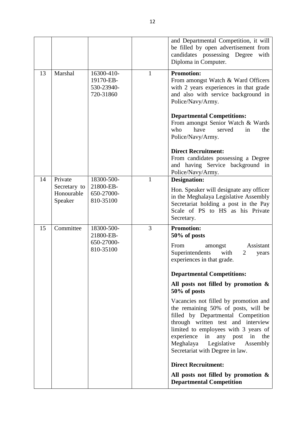|    |                                                  |                                                    | 12           |                                                                                                                                                                                                                                                                                                                                                                                                                                                                                                                                                                                                                                                              |
|----|--------------------------------------------------|----------------------------------------------------|--------------|--------------------------------------------------------------------------------------------------------------------------------------------------------------------------------------------------------------------------------------------------------------------------------------------------------------------------------------------------------------------------------------------------------------------------------------------------------------------------------------------------------------------------------------------------------------------------------------------------------------------------------------------------------------|
|    |                                                  |                                                    |              | and Departmental Competition, it will<br>be filled by open advertisement from<br>candidates possessing Degree with<br>Diploma in Computer.                                                                                                                                                                                                                                                                                                                                                                                                                                                                                                                   |
| 13 | Marshal                                          | 16300-410-<br>19170-EB-<br>530-23940-<br>720-31860 | $\mathbf{1}$ | <b>Promotion:</b><br>From amongst Watch & Ward Officers<br>with 2 years experiences in that grade<br>and also with service background in<br>Police/Navy/Army.<br><b>Departmental Competitions:</b><br>From amongst Senior Watch & Wards<br>have<br>who<br>served<br>in<br>the<br>Police/Navy/Army.<br><b>Direct Recruitment:</b><br>From candidates possessing a Degree<br>and having Service background in<br>Police/Navy/Army.                                                                                                                                                                                                                             |
| 14 | Private<br>Secretary to<br>Honourable<br>Speaker | 18300-500-<br>21800-EB-<br>650-27000-<br>810-35100 | $\mathbf{1}$ | <b>Designation:</b><br>Hon. Speaker will designate any officer<br>in the Meghalaya Legislative Assembly<br>Secretariat holding a post in the Pay<br>Scale of PS to HS as his Private<br>Secretary.                                                                                                                                                                                                                                                                                                                                                                                                                                                           |
| 15 | Committee                                        | 18300-500-<br>21800-EB-<br>650-27000-<br>810-35100 | 3            | <b>Promotion:</b><br>50% of posts<br>From<br>Assistant<br>amongst<br>Superintendents<br>with<br>2<br>years<br>experiences in that grade.<br><b>Departmental Competitions:</b><br>All posts not filled by promotion $\&$<br>50% of posts<br>Vacancies not filled by promotion and<br>the remaining 50% of posts, will be<br>filled by Departmental Competition<br>through written test and interview<br>limited to employees with 3 years of<br>experience in any post in the<br>Meghalaya Legislative<br>Assembly<br>Secretariat with Degree in law.<br><b>Direct Recruitment:</b><br>All posts not filled by promotion &<br><b>Departmental Competition</b> |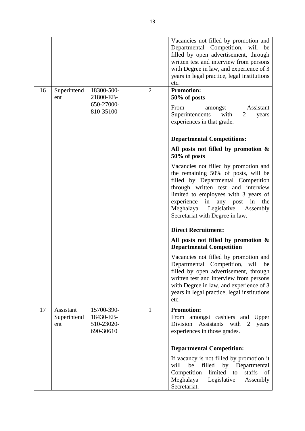|    |                                 |                                                    |                | Vacancies not filled by promotion and<br>Departmental Competition, will be<br>filled by open advertisement, through<br>written test and interview from persons<br>with Degree in law, and experience of 3<br>years in legal practice, legal institutions<br>etc.                                          |
|----|---------------------------------|----------------------------------------------------|----------------|-----------------------------------------------------------------------------------------------------------------------------------------------------------------------------------------------------------------------------------------------------------------------------------------------------------|
| 16 | Superintend<br>ent              | 18300-500-<br>21800-EB-                            | $\overline{2}$ | <b>Promotion:</b><br>50% of posts                                                                                                                                                                                                                                                                         |
|    |                                 | 650-27000-<br>810-35100                            |                | From<br>Assistant<br>amongst<br>Superintendents<br>with<br>2<br>years<br>experiences in that grade.                                                                                                                                                                                                       |
|    |                                 |                                                    |                | <b>Departmental Competitions:</b>                                                                                                                                                                                                                                                                         |
|    |                                 |                                                    |                | All posts not filled by promotion $\&$<br>50% of posts                                                                                                                                                                                                                                                    |
|    |                                 |                                                    |                | Vacancies not filled by promotion and<br>the remaining 50% of posts, will be<br>filled by Departmental Competition<br>through written test and interview<br>limited to employees with 3 years of<br>experience in any post in the<br>Meghalaya Legislative<br>Assembly<br>Secretariat with Degree in law. |
|    |                                 |                                                    |                | <b>Direct Recruitment:</b>                                                                                                                                                                                                                                                                                |
|    |                                 |                                                    |                | All posts not filled by promotion $\&$<br><b>Departmental Competition</b>                                                                                                                                                                                                                                 |
|    |                                 |                                                    |                | Vacancies not filled by promotion and<br>Departmental Competition, will be<br>filled by open advertisement, through<br>written test and interview from persons<br>with Degree in law, and experience of 3<br>years in legal practice, legal institutions<br>etc.                                          |
| 17 | Assistant<br>Superintend<br>ent | 15700-390-<br>18430-EB-<br>510-23020-<br>690-30610 | $\mathbf{1}$   | <b>Promotion:</b><br>From amongst cashiers and Upper<br>Division<br>Assistants<br>with 2<br>years<br>experiences in those grades.                                                                                                                                                                         |
|    |                                 |                                                    |                | <b>Departmental Competition:</b>                                                                                                                                                                                                                                                                          |
|    |                                 |                                                    |                | If vacancy is not filled by promotion it<br>will<br>be<br>filled by Departmental<br>Competition<br>limited<br>staffs<br>of<br>to<br>Meghalaya<br>Legislative<br>Assembly<br>Secretariat.                                                                                                                  |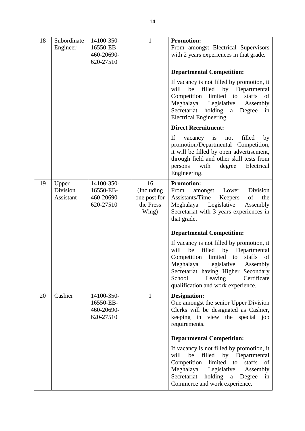|    |                                |                                                    | 14                                                      |                                                                                                                                                                                                                                                                                            |
|----|--------------------------------|----------------------------------------------------|---------------------------------------------------------|--------------------------------------------------------------------------------------------------------------------------------------------------------------------------------------------------------------------------------------------------------------------------------------------|
| 18 | Subordinate<br>Engineer        | 14100-350-<br>16550-EB-<br>460-20690-<br>620-27510 | $\mathbf{1}$                                            | <b>Promotion:</b><br>From amongst Electrical Supervisors<br>with 2 years experiences in that grade.                                                                                                                                                                                        |
|    |                                |                                                    |                                                         | <b>Departmental Competition:</b>                                                                                                                                                                                                                                                           |
|    |                                |                                                    |                                                         | If vacancy is not filled by promotion, it<br>will<br>be<br>filled<br>by Departmental<br>Competition<br>limited<br>staffs<br>of<br>to<br>Meghalaya<br>Legislative<br>Assembly<br>Secretariat holding<br>Degree<br>a<br>in<br>Electrical Engineering.                                        |
|    |                                |                                                    |                                                         | <b>Direct Recruitment:</b>                                                                                                                                                                                                                                                                 |
|    |                                |                                                    |                                                         | If<br>filled<br>vacancy is<br>by<br>not<br>promotion/Departmental Competition,<br>it will be filled by open advertisement,<br>through field and other skill tests from<br>with<br>Electrical<br>persons<br>degree<br>Engineering.                                                          |
| 19 | Upper<br>Division<br>Assistant | 14100-350-<br>16550-EB-<br>460-20690-<br>620-27510 | 16<br>(Including)<br>one post for<br>the Press<br>Wing) | <b>Promotion:</b><br>Division<br>From<br>Lower<br>amongst<br>Assistants/Time<br>of<br>the<br>Keepers<br>Meghalaya<br>Legislative<br>Assembly<br>Secretariat with 3 years experiences in<br>that grade.                                                                                     |
|    |                                |                                                    |                                                         | <b>Departmental Competition:</b>                                                                                                                                                                                                                                                           |
|    |                                |                                                    |                                                         | If vacancy is not filled by promotion, it<br>be<br>by Departmental<br>will<br>filled<br>Competition<br>limited to<br>staffs<br>of<br>Meghalaya<br>Legislative<br>Assembly<br>Secretariat having Higher Secondary<br>Certificate<br>School<br>Leaving<br>qualification and work experience. |
| 20 | Cashier                        | 14100-350-<br>16550-EB-<br>460-20690-<br>620-27510 | $\mathbf{1}$                                            | <b>Designation:</b><br>One amongst the senior Upper Division<br>Clerks will be designated as Cashier,<br>keeping in view the special job<br>requirements.                                                                                                                                  |
|    |                                |                                                    |                                                         | <b>Departmental Competition:</b>                                                                                                                                                                                                                                                           |
|    |                                |                                                    |                                                         | If vacancy is not filled by promotion, it<br>will<br>be<br>filled<br>by Departmental<br>Competition<br>limited<br>staffs<br>of<br>to<br>Meghalaya<br>Legislative<br>Assembly<br>Secretariat holding<br>a Degree<br>in<br>Commerce and work experience.                                     |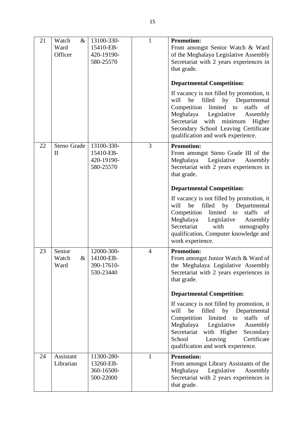|    |                                  |                                                    | 15             |                                                                                                                                                                                                                                                                                                      |
|----|----------------------------------|----------------------------------------------------|----------------|------------------------------------------------------------------------------------------------------------------------------------------------------------------------------------------------------------------------------------------------------------------------------------------------------|
| 21 | Watch<br>$\&$<br>Ward<br>Officer | 13100-330-<br>15410-EB-<br>420-19190-<br>580-25570 | $\mathbf{1}$   | <b>Promotion:</b><br>From amongst Senior Watch & Ward<br>of the Meghalaya Legislative Assembly<br>Secretariat with 2 years experiences in<br>that grade.                                                                                                                                             |
|    |                                  |                                                    |                | <b>Departmental Competition:</b>                                                                                                                                                                                                                                                                     |
|    |                                  |                                                    |                | If vacancy is not filled by promotion, it<br>filled by Departmental<br>will<br>be<br>Competition<br>limited to<br>staffs<br>of<br>Meghalaya<br>Legislative<br>Assembly<br>Secretariat with<br>minimum<br>Higher<br>Secondary School Leaving Certificate<br>qualification and work experience.        |
| 22 | Steno Grade<br>$\mathbf{I}$      | 13100-330-<br>15410-EB-<br>420-19190-<br>580-25570 | 3              | <b>Promotion:</b><br>From amongst Steno Grade III of the<br>Meghalaya Legislative<br>Assembly<br>Secretariat with 2 years experiences in<br>that grade.                                                                                                                                              |
|    |                                  |                                                    |                | <b>Departmental Competition:</b>                                                                                                                                                                                                                                                                     |
|    |                                  |                                                    |                | If vacancy is not filled by promotion, it<br>be<br>filled<br>by Departmental<br>will<br>Competition<br>limited to<br>staffs<br>of<br>Meghalaya Legislative<br>Assembly<br>Secretariat with<br>stenography<br>qualification, Computer knowledge and<br>work experience.                               |
| 23 | Senior<br>Watch<br>$\&$<br>Ward  | 12000-300-<br>14100-EB-<br>390-17610-<br>530-23440 | $\overline{4}$ | <b>Promotion:</b><br>From amongst Junior Watch & Ward of<br>the Meghalaya Legislative Assembly<br>Secretariat with 2 years experiences in<br>that grade.                                                                                                                                             |
|    |                                  |                                                    |                | <b>Departmental Competition:</b>                                                                                                                                                                                                                                                                     |
|    |                                  |                                                    |                | If vacancy is not filled by promotion, it<br>be<br>will<br>filled<br>by<br>Departmental<br>Competition<br>limited<br>staffs<br>to<br>of<br>Meghalaya<br>Legislative<br>Assembly<br>with Higher<br>Secretariat<br>Secondary<br>Certificate<br>School<br>Leaving<br>qualification and work experience. |
| 24 | Assistant<br>Librarian           | 11300-280-<br>13260-EB-<br>360-16500-<br>500-22000 | $\mathbf{1}$   | <b>Promotion:</b><br>From amongst Library Assistants of the<br>Meghalaya<br>Legislative<br>Assembly<br>Secretariat with 2 years experiences in<br>that grade.                                                                                                                                        |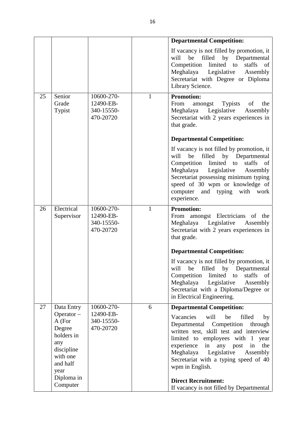|    |                                                                                                     |                                                    |              | <b>Departmental Competition:</b>                                                                                                                                                                                                                                                                           |
|----|-----------------------------------------------------------------------------------------------------|----------------------------------------------------|--------------|------------------------------------------------------------------------------------------------------------------------------------------------------------------------------------------------------------------------------------------------------------------------------------------------------------|
|    |                                                                                                     |                                                    |              | If vacancy is not filled by promotion, it<br>be filled by Departmental<br>will<br>Competition<br>limited to<br>staffs<br><sub>of</sub><br>Meghalaya Legislative<br>Assembly<br>Secretariat with Degree or Diploma<br>Library Science.                                                                      |
| 25 | Senior<br>Grade<br>Typist                                                                           | 10600-270-<br>12490-EB-<br>340-15550-<br>470-20720 | $\mathbf{1}$ | <b>Promotion:</b><br>From<br>Typists<br>amongst<br>of<br>the<br>Legislative<br>Meghalaya<br>Assembly<br>Secretariat with 2 years experiences in<br>that grade.                                                                                                                                             |
|    |                                                                                                     |                                                    |              | <b>Departmental Competition:</b>                                                                                                                                                                                                                                                                           |
|    |                                                                                                     |                                                    |              | If vacancy is not filled by promotion, it<br>be filled by Departmental<br>will<br>Competition<br>limited to<br>staffs<br>of<br>Meghalaya Legislative<br>Assembly<br>Secretariat possessing minimum typing<br>speed of 30 wpm or knowledge of<br>computer and typing with work<br>experience.               |
| 26 | Electrical                                                                                          | 10600-270-                                         | $\mathbf{1}$ | <b>Promotion:</b>                                                                                                                                                                                                                                                                                          |
|    | Supervisor                                                                                          | 12490-EB-<br>340-15550-<br>470-20720               |              | From amongst Electricians of the<br>Meghalaya Legislative<br>Assembly<br>Secretariat with 2 years experiences in<br>that grade.                                                                                                                                                                            |
|    |                                                                                                     |                                                    |              | <b>Departmental Competition:</b>                                                                                                                                                                                                                                                                           |
|    |                                                                                                     |                                                    |              | If vacancy is not filled by promotion, it<br>will<br>filled<br>by Departmental<br>be<br>staffs<br>Competition<br>limited<br><sub>of</sub><br>to<br>Meghalaya<br>Legislative<br>Assembly<br>Secretariat with a Diploma/Degree or<br>in Electrical Engineering.                                              |
| 27 | Data Entry                                                                                          | 10600-270-                                         | 6            | <b>Departmental Competition:</b>                                                                                                                                                                                                                                                                           |
|    | Operator $-$<br>A (For<br>Degree<br>holders in<br>any<br>discipline<br>with one<br>and half<br>year | 12490-EB-<br>340-15550-<br>470-20720               |              | Vacancies<br>will<br>be<br>filled<br>by<br>Departmental Competition<br>through<br>written test, skill test and interview<br>limited to employees with 1 year<br>experience<br>in any post<br>the<br>in<br>Legislative<br>Meghalaya<br>Assembly<br>Secretariat with a typing speed of 40<br>wpm in English. |
|    |                                                                                                     |                                                    |              |                                                                                                                                                                                                                                                                                                            |
|    | Diploma in<br>Computer                                                                              |                                                    |              | <b>Direct Recruitment:</b>                                                                                                                                                                                                                                                                                 |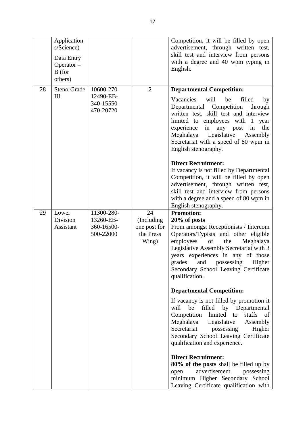|    | Application<br>s/Science)<br>Data Entry<br>Operator $-$<br>B (for<br>others) |                                                    |                                                        | Competition, it will be filled by open<br>advertisement, through written test,<br>skill test and interview from persons<br>with a degree and 40 wpm typing in<br>English.                                                                                                                                                                                    |
|----|------------------------------------------------------------------------------|----------------------------------------------------|--------------------------------------------------------|--------------------------------------------------------------------------------------------------------------------------------------------------------------------------------------------------------------------------------------------------------------------------------------------------------------------------------------------------------------|
| 28 | Steno Grade<br>$\mathop{\rm III}$                                            | 10600-270-<br>12490-EB-<br>340-15550-<br>470-20720 | $\overline{2}$                                         | <b>Departmental Competition:</b><br>Vacancies<br>will<br>be<br>filled<br>by<br>Competition<br>Departmental<br>through<br>written test, skill test and interview<br>limited to employees with 1<br>year<br>experience<br>in<br>any post<br>in<br>the<br>Meghalaya<br>Legislative<br>Assembly<br>Secretariat with a speed of 80 wpm in<br>English stenography. |
|    |                                                                              |                                                    |                                                        | <b>Direct Recruitment:</b><br>If vacancy is not filled by Departmental<br>Competition, it will be filled by open<br>advertisement, through written test,<br>skill test and interview from persons<br>with a degree and a speed of 80 wpm in<br>English stenography.                                                                                          |
| 29 | Lower<br>Division<br>Assistant                                               | 11300-280-<br>13260-EB-<br>360-16500-<br>500-22000 | 24<br>(Including<br>one post for<br>the Press<br>Wing) | <b>Promotion:</b><br>20% of posts<br>From amongst Receptionists / Intercom<br>Operators/Typists and other eligible<br>employees<br>of<br>the<br>Meghalaya<br>Legislative Assembly Secretariat with 3<br>years experiences in any of those<br>grades<br>and<br>possessing<br>Higher<br>Secondary School Leaving Certificate<br>qualification.                 |
|    |                                                                              |                                                    |                                                        | <b>Departmental Competition:</b>                                                                                                                                                                                                                                                                                                                             |
|    |                                                                              |                                                    |                                                        | If vacancy is not filled by promotion it<br>be<br>filled by Departmental<br>will<br>Competition<br>limited to<br>staffs<br>of<br>Meghalaya Legislative<br>Assembly<br>Secretariat possessing<br>Higher<br>Secondary School Leaving Certificate<br>qualification and experience.                                                                              |
|    |                                                                              |                                                    |                                                        | <b>Direct Recruitment:</b><br>80% of the posts shall be filled up by<br>advertisement<br>possessing<br>open<br>minimum Higher Secondary School<br>Leaving Certificate qualification with                                                                                                                                                                     |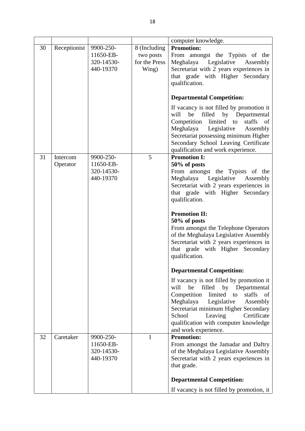|    |              |                                                   | 18                                                  |                                                                                                                                                                                                                                                                                                                                            |
|----|--------------|---------------------------------------------------|-----------------------------------------------------|--------------------------------------------------------------------------------------------------------------------------------------------------------------------------------------------------------------------------------------------------------------------------------------------------------------------------------------------|
|    |              |                                                   |                                                     | computer knowledge.                                                                                                                                                                                                                                                                                                                        |
| 30 | Receptionist | 9900-250-<br>11650-EB-<br>320-14530-<br>440-19370 | 8 (Including<br>two posts<br>for the Press<br>Wing) | <b>Promotion:</b><br>From amongst the Typists of the<br>Meghalaya Legislative<br>Assembly<br>Secretariat with 2 years experiences in<br>that grade with Higher Secondary<br>qualification.                                                                                                                                                 |
|    |              |                                                   |                                                     | <b>Departmental Competition:</b>                                                                                                                                                                                                                                                                                                           |
|    |              |                                                   |                                                     | If vacancy is not filled by promotion it<br>be<br>filled<br>by Departmental<br>will<br>Competition<br>limited<br>staffs<br>of<br>to<br>Meghalaya<br>Legislative<br>Assembly<br>Secretariat possessing minimum Higher<br>Secondary School Leaving Certificate<br>qualification and work experience.                                         |
| 31 | Intercom     | 9900-250-<br>11650-EB-                            | 5                                                   | <b>Promotion I:</b><br>50% of posts                                                                                                                                                                                                                                                                                                        |
|    | Operator     | 320-14530-<br>440-19370                           |                                                     | From amongst the Typists of the<br>Meghalaya Legislative<br>Assembly<br>Secretariat with 2 years experiences in<br>that grade with Higher Secondary<br>qualification.                                                                                                                                                                      |
|    |              |                                                   |                                                     | <b>Promotion II:</b><br>50% of posts<br>From amongst the Telephone Operators<br>of the Meghalaya Legislative Assembly<br>Secretariat with 2 years experiences in<br>that grade with Higher Secondary<br>qualification.                                                                                                                     |
|    |              |                                                   |                                                     | <b>Departmental Competition:</b>                                                                                                                                                                                                                                                                                                           |
| 32 | Caretaker    | 9900-250-                                         | 1                                                   | If vacancy is not filled by promotion it<br>be<br>will<br>filled<br>by Departmental<br>Competition<br>limited to<br>staffs<br>of<br>Meghalaya<br>Legislative<br>Assembly<br>Secretariat minimum Higher Secondary<br>School<br>Leaving<br>Certificate<br>qualification with computer knowledge<br>and work experience.<br><b>Promotion:</b> |
|    |              | 11650-EB-<br>320-14530-<br>440-19370              |                                                     | From amongst the Jamadar and Daftry<br>of the Meghalaya Legislative Assembly<br>Secretariat with 2 years experiences in<br>that grade.                                                                                                                                                                                                     |
|    |              |                                                   |                                                     | <b>Departmental Competition:</b>                                                                                                                                                                                                                                                                                                           |
|    |              |                                                   |                                                     | If vacancy is not filled by promotion, it                                                                                                                                                                                                                                                                                                  |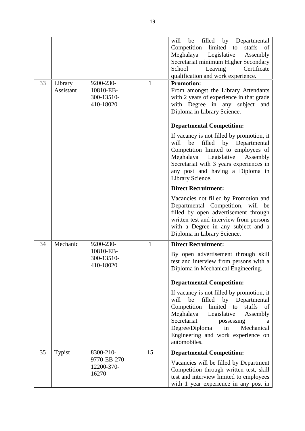| 33 | Library   | 9200-230-                            | 1            | will<br>filled<br>by Departmental<br>be<br>Competition limited to<br>staffs<br>of<br>Meghalaya<br>Legislative<br>Assembly<br>Secretariat minimum Higher Secondary<br>Leaving<br>Certificate<br>School<br>qualification and work experience.<br><b>Promotion:</b>                                        |
|----|-----------|--------------------------------------|--------------|---------------------------------------------------------------------------------------------------------------------------------------------------------------------------------------------------------------------------------------------------------------------------------------------------------|
|    | Assistant | 10810-EB-<br>300-13510-<br>410-18020 |              | From amongst the Library Attendants<br>with 2 years of experience in that grade<br>with Degree in any subject and<br>Diploma in Library Science.                                                                                                                                                        |
|    |           |                                      |              | <b>Departmental Competition:</b><br>If vacancy is not filled by promotion, it                                                                                                                                                                                                                           |
|    |           |                                      |              | be filled by Departmental<br>will<br>Competition limited to employees of<br>Legislative<br>Meghalaya<br>Assembly<br>Secretariat with 3 years experiences in<br>any post and having a Diploma in<br>Library Science.                                                                                     |
|    |           |                                      |              | <b>Direct Recruitment:</b>                                                                                                                                                                                                                                                                              |
|    |           |                                      |              | Vacancies not filled by Promotion and<br>Departmental Competition, will be<br>filled by open advertisement through<br>written test and interview from persons<br>with a Degree in any subject and a<br>Diploma in Library Science.                                                                      |
| 34 | Mechanic  | 9200-230-                            | $\mathbf{1}$ | <b>Direct Recruitment:</b>                                                                                                                                                                                                                                                                              |
|    |           | 10810-EB-<br>300-13510-<br>410-18020 |              | By open advertisement through skill<br>test and interview from persons with a<br>Diploma in Mechanical Engineering.                                                                                                                                                                                     |
|    |           |                                      |              | <b>Departmental Competition:</b>                                                                                                                                                                                                                                                                        |
|    |           |                                      |              | If vacancy is not filled by promotion, it<br>will<br>be<br>filled by Departmental<br>limited<br>Competition<br>staffs<br>to<br>of<br>Meghalaya<br>Legislative<br>Assembly<br>Secretariat<br>possessing<br>a<br>Mechanical<br>Degree/Diploma<br>in<br>Engineering and work experience on<br>automobiles. |
| 35 | Typist    | 8300-210-                            | 15           | <b>Departmental Competition:</b>                                                                                                                                                                                                                                                                        |
|    |           | 9770-EB-270-<br>12200-370-<br>16270  |              | Vacancies will be filled by Department<br>Competition through written test, skill<br>test and interview limited to employees<br>with 1 year experience in any post in                                                                                                                                   |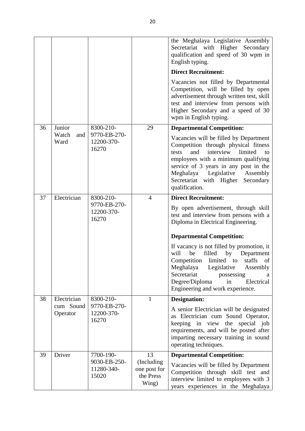|    |                       |                                     |                                                  | the Meghalaya Legislative Assembly<br>Secretariat with Higher Secondary<br>qualification and speed of 30 wpm in<br>English typing.                                                                                                                                                                          |
|----|-----------------------|-------------------------------------|--------------------------------------------------|-------------------------------------------------------------------------------------------------------------------------------------------------------------------------------------------------------------------------------------------------------------------------------------------------------------|
|    |                       |                                     |                                                  | <b>Direct Recruitment:</b>                                                                                                                                                                                                                                                                                  |
|    |                       |                                     |                                                  | Vacancies not filled by Departmental<br>Competition, will be filled by open<br>advertisement through written test, skill<br>test and interview from persons with<br>Higher Secondary and a speed of 30<br>wpm in English typing.                                                                            |
| 36 | Junior                | 8300-210-                           | 29                                               | <b>Departmental Competition:</b>                                                                                                                                                                                                                                                                            |
|    | Watch<br>and<br>Ward  | 9770-EB-270-<br>12200-370-<br>16270 |                                                  | Vacancies will be filled by Department<br>Competition through physical fitness<br>interview<br>limited<br>and<br>tests<br>to<br>employees with a minimum qualifying<br>service of 3 years in any post in the<br>Meghalaya Legislative<br>Assembly<br>Secretariat with Higher<br>Secondary<br>qualification. |
| 37 | Electrician           | 8300-210-                           | $\overline{4}$                                   | <b>Direct Recruitment:</b>                                                                                                                                                                                                                                                                                  |
|    |                       | 9770-EB-270-<br>12200-370-<br>16270 |                                                  | By open advertisement, through skill<br>test and interview from persons with a<br>Diploma in Electrical Engineering.                                                                                                                                                                                        |
|    |                       |                                     |                                                  | <b>Departmental Competition:</b>                                                                                                                                                                                                                                                                            |
|    |                       |                                     |                                                  | If vacancy is not filled by promotion, it<br>filled<br>will<br>be<br>by<br>Department<br>Competition<br>limited to<br>staffs<br>of<br>Meghalaya<br>Legislative<br>Assembly<br>Secretariat<br>possessing<br>а<br>Electrical<br>Degree/Diploma<br>in<br>Engineering and work experience.                      |
| 38 | Electrician           | 8300-210-                           | $\mathbf{1}$                                     | <b>Designation:</b>                                                                                                                                                                                                                                                                                         |
|    | cum Sound<br>Operator | 9770-EB-270-<br>12200-370-<br>16270 |                                                  | A senior Electrician will be designated<br>as Electrician cum Sound Operator,<br>keeping in view the special job<br>requirements, and will be posted after<br>imparting necessary training in sound<br>operating techniques.                                                                                |
| 39 | Driver                | 7700-190-                           | 13                                               | <b>Departmental Competition:</b>                                                                                                                                                                                                                                                                            |
|    |                       | 9030-EB-250-<br>11280-340-<br>15020 | (Including<br>one post for<br>the Press<br>Wing) | Vacancies will be filled by Department<br>Competition through skill test and<br>interview limited to employees with 3<br>years experiences in the Meghalaya                                                                                                                                                 |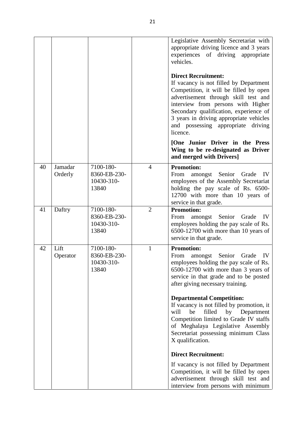|    |                    |                                                  | 21             |                                                                                                                                                                                                                                                                                                                                     |
|----|--------------------|--------------------------------------------------|----------------|-------------------------------------------------------------------------------------------------------------------------------------------------------------------------------------------------------------------------------------------------------------------------------------------------------------------------------------|
|    |                    |                                                  |                | Legislative Assembly Secretariat with<br>appropriate driving licence and 3 years<br>experiences of driving appropriate<br>vehicles.                                                                                                                                                                                                 |
|    |                    |                                                  |                | <b>Direct Recruitment:</b><br>If vacancy is not filled by Department<br>Competition, it will be filled by open<br>advertisement through skill test and<br>interview from persons with Higher<br>Secondary qualification, experience of<br>3 years in driving appropriate vehicles<br>and possessing appropriate driving<br>licence. |
|    |                    |                                                  |                | [One Junior Driver in the Press<br>Wing to be re-designated as Driver<br>and merged with Drivers]                                                                                                                                                                                                                                   |
| 40 | Jamadar<br>Orderly | 7100-180-<br>8360-EB-230-<br>10430-310-<br>13840 | $\overline{4}$ | <b>Promotion:</b><br>From<br>amongst Senior<br>Grade<br>IV<br>employees of the Assembly Secretariat<br>holding the pay scale of Rs. 6500-<br>12700 with more than 10 years of<br>service in that grade.                                                                                                                             |
| 41 | Daftry             | 7100-180-<br>8360-EB-230-<br>10430-310-<br>13840 | $\overline{2}$ | <b>Promotion:</b><br>From<br>amongst Senior<br>Grade<br>IV<br>employees holding the pay scale of Rs.<br>6500-12700 with more than 10 years of<br>service in that grade.                                                                                                                                                             |
| 42 | Lift<br>Operator   | 7100-180-<br>8360-EB-230-<br>10430-310-<br>13840 | $\mathbf{1}$   | <b>Promotion:</b><br>Senior Grade<br>From<br>amongst<br>IV<br>employees holding the pay scale of Rs.<br>6500-12700 with more than 3 years of<br>service in that grade and to be posted<br>after giving necessary training.                                                                                                          |
|    |                    |                                                  |                | <b>Departmental Competition:</b><br>If vacancy is not filled by promotion, it<br>be<br>filled<br>by Department<br>will<br>Competition limited to Grade IV staffs<br>of Meghalaya Legislative Assembly<br>Secretariat possessing minimum Class<br>X qualification.                                                                   |
|    |                    |                                                  |                | <b>Direct Recruitment:</b>                                                                                                                                                                                                                                                                                                          |
|    |                    |                                                  |                | If vacancy is not filled by Department<br>Competition, it will be filled by open<br>advertisement through skill test and<br>interview from persons with minimum                                                                                                                                                                     |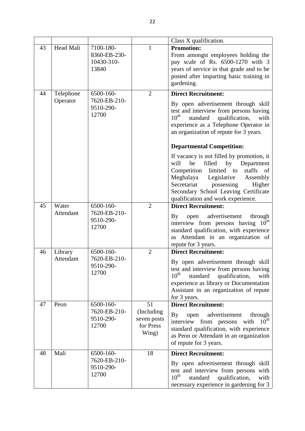|    |                                    |                                                  | 22                                                                                                                                                                               |                                                                                                                                                                                                                                                                                                 |
|----|------------------------------------|--------------------------------------------------|----------------------------------------------------------------------------------------------------------------------------------------------------------------------------------|-------------------------------------------------------------------------------------------------------------------------------------------------------------------------------------------------------------------------------------------------------------------------------------------------|
|    |                                    |                                                  |                                                                                                                                                                                  | Class X qualification.                                                                                                                                                                                                                                                                          |
| 43 | Head Mali                          | 7100-180-<br>8360-EB-230-<br>10430-310-<br>13840 | $\mathbf{1}$                                                                                                                                                                     | <b>Promotion:</b><br>From amongst employees holding the<br>pay scale of Rs. 6500-1270 with 3<br>years of service in that grade and to be<br>posted after imparting basic training in<br>gardening.                                                                                              |
| 44 | Telephone                          | 6500-160-                                        | $\overline{2}$                                                                                                                                                                   | <b>Direct Recruitment:</b>                                                                                                                                                                                                                                                                      |
|    | Operator                           | 7620-EB-210-<br>9510-290-<br>12700               |                                                                                                                                                                                  | By open advertisement through skill<br>test and interview from persons having<br>$10^{\text{th}}$<br>qualification,<br>standard<br>with<br>experience as a Telephone Operator in<br>an organization of repute for 3 years.                                                                      |
|    |                                    |                                                  |                                                                                                                                                                                  | <b>Departmental Competition:</b>                                                                                                                                                                                                                                                                |
|    |                                    |                                                  |                                                                                                                                                                                  | If vacancy is not filled by promotion, it<br>will<br>be<br>filled<br>by<br>Department<br>Competition<br>limited to<br>staffs<br>of<br>Meghalaya<br>Legislative<br>Assembly<br>Secretariat<br>possessing<br>Higher<br>Secondary School Leaving Certificate<br>qualification and work experience. |
| 45 | Water                              | 6500-160-                                        | $\overline{2}$                                                                                                                                                                   | <b>Direct Recruitment:</b>                                                                                                                                                                                                                                                                      |
| 46 | Attendant<br>Library               | 7620-EB-210-<br>9510-290-<br>12700<br>6500-160-  | $\overline{2}$                                                                                                                                                                   | advertisement<br>By<br>through<br>open<br>interview from persons having 10 <sup>th</sup><br>standard qualification, with experience<br>as Attendant in an organization of<br>repute for 3 years.<br><b>Direct Recruitment:</b>                                                                  |
|    | Attendant                          | 7620-EB-210-<br>9510-290-<br>12700               |                                                                                                                                                                                  | By open advertisement through skill<br>test and interview from persons having<br>$10^{\text{th}}$<br>standard<br>qualification,<br>with<br>experience as library or Documentation<br>Assistant in an organization of repute<br>for 3 years.                                                     |
| 47 | Peon                               | 6500-160-                                        | 51                                                                                                                                                                               | <b>Direct Recruitment:</b>                                                                                                                                                                                                                                                                      |
|    |                                    | 7620-EB-210-<br>9510-290-<br>12700               | (Including)<br>seven posts<br>for Press<br>Wing)                                                                                                                                 | By<br>advertisement<br>open<br>through<br>$10^{\rm th}$<br>interview from persons<br>with<br>standard qualification, with experience<br>as Peon or Attendant in an organization<br>of repute for 3 years.                                                                                       |
| 48 | Mali                               | 6500-160-                                        | 18                                                                                                                                                                               | <b>Direct Recruitment:</b>                                                                                                                                                                                                                                                                      |
|    | 7620-EB-210-<br>9510-290-<br>12700 |                                                  | By open advertisement through skill<br>test and interview from persons with<br>$10^{\text{th}}$<br>qualification,<br>standard<br>with<br>necessary experience in gardening for 3 |                                                                                                                                                                                                                                                                                                 |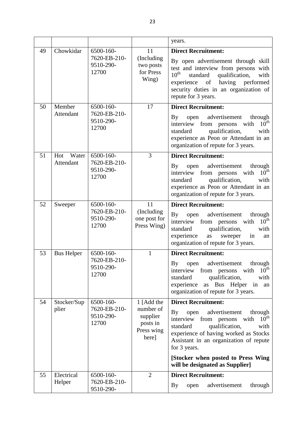|    |                     |                                                 | 23                                                       |                                                                                                                                                                                                                                                                                                              |
|----|---------------------|-------------------------------------------------|----------------------------------------------------------|--------------------------------------------------------------------------------------------------------------------------------------------------------------------------------------------------------------------------------------------------------------------------------------------------------------|
|    |                     |                                                 |                                                          | years.                                                                                                                                                                                                                                                                                                       |
| 49 | Chowkidar           | 6500-160-<br>7620-EB-210-<br>9510-290-<br>12700 | 11<br>(Including)<br>two posts<br>for Press<br>Wing)     | <b>Direct Recruitment:</b><br>By open advertisement through skill<br>test and interview from persons with<br>$10^{\text{th}}$<br>standard<br>qualification,<br>with<br>of<br>having<br>performed<br>experience<br>security duties in an organization of<br>repute for 3 years.                               |
| 50 | Member<br>Attendant | 6500-160-<br>7620-EB-210-<br>9510-290-<br>12700 | 17                                                       | <b>Direct Recruitment:</b><br>open advertisement<br>$\mathbf{By}$<br>through<br>$10^{\text{th}}$<br>interview from persons with<br>qualification,<br>standard<br>with<br>experience as Peon or Attendant in an<br>organization of repute for 3 years.                                                        |
| 51 | Water<br>Hot        | 6500-160-                                       | 3                                                        | <b>Direct Recruitment:</b>                                                                                                                                                                                                                                                                                   |
|    | Attendant           | 7620-EB-210-<br>9510-290-<br>12700              |                                                          | open advertisement<br>By<br>through<br>$10^{\rm th}$<br>interview from persons with<br>qualification,<br>standard<br>with<br>experience as Peon or Attendant in an<br>organization of repute for 3 years.                                                                                                    |
| 52 | Sweeper             | 6500-160-                                       | 11                                                       | <b>Direct Recruitment:</b>                                                                                                                                                                                                                                                                                   |
|    |                     | 7620-EB-210-<br>9510-290-<br>12700              | (Including)<br>one post for<br>Press Wing)               | advertisement<br>$\mathbf{B}\mathbf{y}$<br>open<br>through<br>$10^{\text{th}}$<br>interview from persons<br>with<br>standard<br>qualification,<br>with<br>experience<br>as<br>sweeper<br>in<br>an<br>organization of repute for 3 years.                                                                     |
| 53 | <b>Bus Helper</b>   | 6500-160-                                       | 1                                                        | <b>Direct Recruitment:</b>                                                                                                                                                                                                                                                                                   |
|    |                     | 7620-EB-210-<br>9510-290-<br>12700              |                                                          | advertisement<br>through<br>By<br>open<br>$10^{\text{th}}$<br>interview from persons<br>with<br>qualification,<br>standard<br>with<br>experience<br>as Bus Helper<br>in<br>an<br>organization of repute for 3 years.                                                                                         |
| 54 | Stocker/Sup         | 6500-160-                                       | 1 [Add the                                               | <b>Direct Recruitment:</b>                                                                                                                                                                                                                                                                                   |
|    | plier               | 7620-EB-210-<br>9510-290-<br>12700              | number of<br>supplier<br>posts in<br>Press wing<br>here] | open advertisement<br>through<br>By<br>$10^{\text{th}}$<br>interview from persons<br>with<br>qualification,<br>standard<br>with<br>experience of having worked as Stocks<br>Assistant in an organization of repute<br>for 3 years.<br>[Stocker when posted to Press Wing]<br>will be designated as Supplier] |
| 55 | Electrical          | 6500-160-                                       | $\overline{2}$                                           | <b>Direct Recruitment:</b>                                                                                                                                                                                                                                                                                   |
|    | Helper              | 7620-EB-210-<br>9510-290-                       |                                                          | advertisement<br><b>By</b><br>through<br>open                                                                                                                                                                                                                                                                |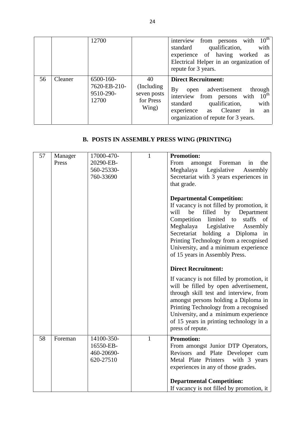|                                                   |         | 12700                                           |                                                        | $10^{\text{th}}$<br>from<br>with<br>interview<br>persons<br>qualification,<br>standard<br>with<br>experience of having worked<br><b>as</b><br>Electrical Helper in an organization of<br>repute for 3 years.                                     |  |
|---------------------------------------------------|---------|-------------------------------------------------|--------------------------------------------------------|--------------------------------------------------------------------------------------------------------------------------------------------------------------------------------------------------------------------------------------------------|--|
| 56                                                | Cleaner | 6500-160-<br>7620-EB-210-<br>9510-290-<br>12700 | 40<br>(Including)<br>seven posts<br>for Press<br>Wing) | <b>Direct Recruitment:</b><br>advertisement<br>$\rm\,By$<br>through<br>open<br>$10^{\text{th}}$<br>interview from persons with<br>qualification,<br>standard<br>with<br>experience as Cleaner<br>in<br>an<br>organization of repute for 3 years. |  |
| <b>B. POSTS IN ASSEMBLY PRESS WING (PRINTING)</b> |         |                                                 |                                                        |                                                                                                                                                                                                                                                  |  |

|                                                   |                  |                                                    |              | organization of repute for 5 years.                                                                                                                                                                                                                                                                                                                                                                                                                                                                                                           |  |  |
|---------------------------------------------------|------------------|----------------------------------------------------|--------------|-----------------------------------------------------------------------------------------------------------------------------------------------------------------------------------------------------------------------------------------------------------------------------------------------------------------------------------------------------------------------------------------------------------------------------------------------------------------------------------------------------------------------------------------------|--|--|
| <b>B. POSTS IN ASSEMBLY PRESS WING (PRINTING)</b> |                  |                                                    |              |                                                                                                                                                                                                                                                                                                                                                                                                                                                                                                                                               |  |  |
| 57                                                | Manager<br>Press | 17000-470-<br>20290-EB-<br>560-25330-<br>760-33690 | $\mathbf{1}$ | <b>Promotion:</b><br>From<br>amongst<br>Foreman<br>the<br>in<br>Meghalaya Legislative Assembly<br>Secretariat with 3 years experiences in<br>that grade.<br><b>Departmental Competition:</b><br>If vacancy is not filled by promotion, it<br>will<br>be<br>filled by Department<br>Competition limited to staffs of<br>Meghalaya Legislative<br>Assembly<br>Secretariat holding a Diploma in<br>Printing Technology from a recognised<br>University, and a minimum experience<br>of 15 years in Assembly Press.<br><b>Direct Recruitment:</b> |  |  |
|                                                   |                  |                                                    |              | If vacancy is not filled by promotion, it<br>will be filled by open advertisement,<br>through skill test and interview, from<br>amongst persons holding a Diploma in<br>Printing Technology from a recognised<br>University, and a minimum experience<br>of 15 years in printing technology in a<br>press of repute.                                                                                                                                                                                                                          |  |  |
| 58                                                | Foreman          | 14100-350-<br>16550-EB-<br>460-20690-<br>620-27510 | $\mathbf{1}$ | <b>Promotion:</b><br>From amongst Junior DTP Operators,<br>Revisors and Plate Developer cum<br>Metal Plate Printers with 3 years<br>experiences in any of those grades.<br><b>Departmental Competition:</b><br>If vacancy is not filled by promotion, it                                                                                                                                                                                                                                                                                      |  |  |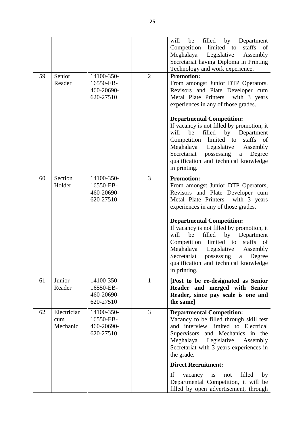| 59 | Senior<br>Reader               | 14100-350-<br>16550-EB-<br>460-20690-<br>620-27510 | $\overline{2}$ | filled<br>will<br>by<br>Department<br>be<br>staffs of<br>Competition limited to<br>Legislative<br>Meghalaya<br>Assembly<br>Secretariat having Diploma in Printing<br>Technology and work experience.<br><b>Promotion:</b><br>From amongst Junior DTP Operators,<br>Revisors and Plate Developer cum<br>Metal Plate Printers with 3 years<br>experiences in any of those grades. |
|----|--------------------------------|----------------------------------------------------|----------------|---------------------------------------------------------------------------------------------------------------------------------------------------------------------------------------------------------------------------------------------------------------------------------------------------------------------------------------------------------------------------------|
|    |                                |                                                    |                | <b>Departmental Competition:</b><br>If vacancy is not filled by promotion, it<br>be<br>filled<br>by<br>will<br>Department<br>Competition limited to<br>staffs of<br>Legislative<br>Meghalaya<br>Assembly<br>Secretariat<br>possessing<br>Degree<br>$\mathbf{a}$<br>qualification and technical knowledge<br>in printing.                                                        |
| 60 | Section<br>Holder              | 14100-350-<br>16550-EB-<br>460-20690-<br>620-27510 | 3              | <b>Promotion:</b><br>From amongst Junior DTP Operators,<br>Revisors and Plate Developer cum<br>Metal Plate Printers with 3 years<br>experiences in any of those grades.<br><b>Departmental Competition:</b>                                                                                                                                                                     |
|    |                                |                                                    |                | If vacancy is not filled by promotion, it<br>will<br>filled<br>be<br>by Department<br>Competition limited to<br>staffs<br>of<br>Meghalaya<br>Legislative<br>Assembly<br>Secretariat<br>possessing<br>Degree<br>$\mathbf{a}$<br>qualification and technical knowledge<br>in printing.                                                                                            |
| 61 | Junior<br>Reader               | 14100-350-<br>16550-EB-<br>460-20690-<br>620-27510 | $\mathbf{1}$   | [Post to be re-designated as Senior<br>Reader and merged with Senior<br>Reader, since pay scale is one and<br>the same]                                                                                                                                                                                                                                                         |
| 62 | Electrician<br>cum<br>Mechanic | 14100-350-<br>16550-EB-<br>460-20690-<br>620-27510 | 3              | <b>Departmental Competition:</b><br>Vacancy to be filled through skill test<br>and interview limited to Electrical<br>Supervisors and Mechanics in the<br>Legislative<br>Meghalaya<br>Assembly<br>Secretariat with 3 years experiences in<br>the grade.                                                                                                                         |
|    |                                |                                                    |                | <b>Direct Recruitment:</b>                                                                                                                                                                                                                                                                                                                                                      |
|    |                                |                                                    |                | If<br>filled<br>vacancy<br>by<br>is<br>not<br>Departmental Competition, it will be<br>filled by open advertisement, through                                                                                                                                                                                                                                                     |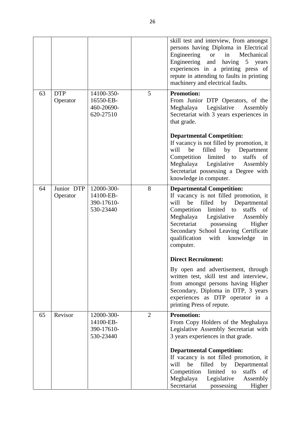|    |                        |                                                    |   | skill test and interview, from amongst<br>persons having Diploma in Electrical<br>Engineering<br>in<br>Mechanical<br><sub>or</sub><br>Engineering and having 5 years<br>experiences in a printing press of<br>repute in attending to faults in printing<br>machinery and electrical faults.                                                     |
|----|------------------------|----------------------------------------------------|---|-------------------------------------------------------------------------------------------------------------------------------------------------------------------------------------------------------------------------------------------------------------------------------------------------------------------------------------------------|
| 63 | <b>DTP</b><br>Operator | 14100-350-<br>16550-EB-<br>460-20690-<br>620-27510 | 5 | <b>Promotion:</b><br>From Junior DTP Operators, of the<br>Meghalaya Legislative<br>Assembly<br>Secretariat with 3 years experiences in<br>that grade.                                                                                                                                                                                           |
|    |                        |                                                    |   | <b>Departmental Competition:</b><br>If vacancy is not filled by promotion, it<br>will<br>filled<br>be<br>by<br>Department<br>Competition limited to staffs<br><sub>of</sub><br>Meghalaya<br>Legislative<br>Assembly<br>Secretariat possessing a Degree with<br>knowledge in computer.                                                           |
| 64 | Junior DTP<br>Operator | 12000-300-<br>14100-EB-<br>390-17610-<br>530-23440 | 8 | <b>Departmental Competition:</b><br>If vacancy is not filled promotion, it<br>filled by Departmental<br>will<br>be<br>Competition<br>limited<br>staffs<br>of<br>to<br>Meghalaya<br>Legislative<br>Assembly<br>Secretariat possessing<br>Higher<br>Secondary School Leaving Certificate<br>qualification<br>with<br>knowledge<br>in<br>computer. |
|    |                        |                                                    |   | <b>Direct Recruitment:</b>                                                                                                                                                                                                                                                                                                                      |
|    |                        |                                                    |   | By open and advertisement, through<br>written test, skill test and interview,<br>from amongst persons having Higher<br>Secondary, Diploma in DTP, 3 years<br>experiences as DTP operator in a<br>printing Press of repute.                                                                                                                      |
| 65 | Revisor                | 12000-300-<br>14100-EB-<br>390-17610-<br>530-23440 | 2 | <b>Promotion:</b><br>From Copy Holders of the Meghalaya<br>Legislative Assembly Secretariat with<br>3 years experiences in that grade.                                                                                                                                                                                                          |
|    |                        |                                                    |   | <b>Departmental Competition:</b><br>If vacancy is not filled promotion, it<br>be<br>filled<br>by Departmental<br>will<br>staffs<br>Competition<br>limited<br>to<br><sub>of</sub><br>Meghalaya<br>Legislative<br>Assembly<br>Secretariat<br>Higher<br>possessing                                                                                 |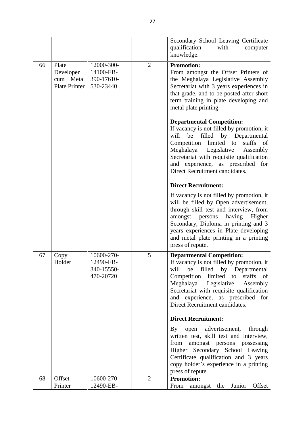| 66<br>67 |                                                         |                                                    | 27             |                                                                                                                                                                                                                                                                                                                                                     |
|----------|---------------------------------------------------------|----------------------------------------------------|----------------|-----------------------------------------------------------------------------------------------------------------------------------------------------------------------------------------------------------------------------------------------------------------------------------------------------------------------------------------------------|
|          |                                                         |                                                    |                | Secondary School Leaving Certificate<br>qualification<br>with<br>computer<br>knowledge.                                                                                                                                                                                                                                                             |
|          | Plate<br>Developer<br>cum Metal<br><b>Plate Printer</b> | 12000-300-<br>14100-EB-<br>390-17610-<br>530-23440 | $\overline{2}$ | <b>Promotion:</b><br>From amongst the Offset Printers of<br>the Meghalaya Legislative Assembly<br>Secretariat with 3 years experiences in<br>that grade, and to be posted after short<br>term training in plate developing and<br>metal plate printing.                                                                                             |
|          |                                                         |                                                    |                | <b>Departmental Competition:</b><br>If vacancy is not filled by promotion, it<br>be filled by Departmental<br>will<br>Competition<br>limited to<br>staffs<br>of<br>Meghalaya<br>Legislative<br>Assembly<br>Secretariat with requisite qualification<br>and experience, as prescribed for<br>Direct Recruitment candidates.                          |
|          |                                                         |                                                    |                | <b>Direct Recruitment:</b><br>If vacancy is not filled by promotion, it<br>will be filled by Open advertisement,<br>through skill test and interview, from<br>persons<br>having<br>Higher<br>amongst<br>Secondary, Diploma in printing and 3<br>years experiences in Plate developing<br>and metal plate printing in a printing<br>press of repute. |
|          | Copy<br>Holder                                          | 10600-270-<br>12490-EB-<br>340-15550-<br>470-20720 | 5              | <b>Departmental Competition:</b><br>If vacancy is not filled by promotion, it<br>be filled by Departmental<br>will<br>Competition limited to staffs of<br>Meghalaya Legislative Assembly<br>Secretariat with requisite qualification<br>and experience, as prescribed for<br>Direct Recruitment candidates.                                         |
|          |                                                         |                                                    |                | <b>Direct Recruitment:</b>                                                                                                                                                                                                                                                                                                                          |
|          |                                                         |                                                    |                | By open advertisement, through<br>written test, skill test and interview,<br>from amongst persons possessing<br>Higher Secondary School Leaving<br>Certificate qualification and 3 years<br>copy holder's experience in a printing<br>press of repute.                                                                                              |
| 68       | Offset<br>Printer                                       | 10600-270-<br>12490-EB-                            | $\overline{2}$ | <b>Promotion:</b><br>Offset<br>From amongst the Junior                                                                                                                                                                                                                                                                                              |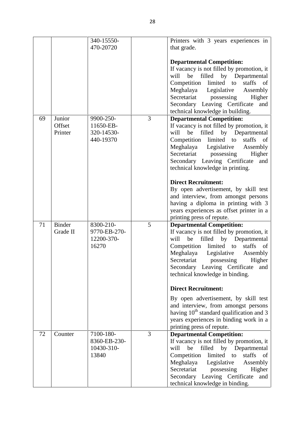|    |                             | 340-15550-                                                         | Printers with 3 years experiences in                                                                                                                                                                                                                                                                                                                                                                                                                                                                                                                                     |
|----|-----------------------------|--------------------------------------------------------------------|--------------------------------------------------------------------------------------------------------------------------------------------------------------------------------------------------------------------------------------------------------------------------------------------------------------------------------------------------------------------------------------------------------------------------------------------------------------------------------------------------------------------------------------------------------------------------|
|    |                             | 470-20720                                                          | that grade.                                                                                                                                                                                                                                                                                                                                                                                                                                                                                                                                                              |
| 69 | Junior<br>Offset<br>Printer | 3<br>9900-250-<br>11650-EB-<br>320-14530-<br>440-19370             | <b>Departmental Competition:</b><br>If vacancy is not filled by promotion, it<br>be filled by Departmental<br>will<br>Competition<br>limited to<br>staffs<br>of<br>Meghalaya Legislative<br>Assembly<br>Secretariat<br>possessing<br>Higher<br>Secondary Leaving Certificate<br>and<br>technical knowledge in building.<br><b>Departmental Competition:</b><br>If vacancy is not filled by promotion, it<br>by Departmental<br>be<br>filled<br>will<br>Competition limited to staffs<br>- of<br>Meghalaya Legislative<br>Assembly<br>Secretariat<br>possessing<br>Higher |
| 71 | <b>Binder</b>               | 8300-210-<br>5                                                     | Secondary Leaving Certificate<br>and<br>technical knowledge in printing.<br><b>Direct Recruitment:</b><br>By open advertisement, by skill test<br>and interview, from amongst persons<br>having a diploma in printing with 3<br>years experiences as offset printer in a<br>printing press of repute.<br><b>Departmental Competition:</b>                                                                                                                                                                                                                                |
|    | Grade II                    | 9770-EB-270-<br>12200-370-<br>16270                                | If vacancy is not filled by promotion, it<br>filled by Departmental<br>will<br>be<br>limited to<br>Competition<br>staffs<br>of<br>Meghalaya Legislative<br>Assembly<br>Secretariat possessing<br>Higher<br>Secondary Leaving Certificate<br>and<br>technical knowledge in binding.<br><b>Direct Recruitment:</b><br>By open advertisement, by skill test<br>and interview, from amongst persons<br>having $10^{th}$ standard qualification and 3<br>years experiences in binding work in a                                                                               |
| 72 | Counter                     | $\overline{3}$<br>7100-180-<br>8360-EB-230-<br>10430-310-<br>13840 | printing press of repute.<br><b>Departmental Competition:</b><br>If vacancy is not filled by promotion, it<br>will<br>be<br>filled by Departmental<br>Competition<br>limited to<br>staffs<br>- of<br>Meghalaya<br>Legislative<br>Assembly<br>Secretariat<br>possessing<br>Higher<br>Secondary Leaving Certificate<br>and<br>technical knowledge in binding.                                                                                                                                                                                                              |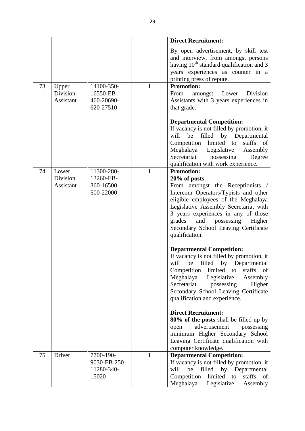|    |                       |                                                  |              | <b>Direct Recruitment:</b>                                                                                                                                                                                                                                                             |
|----|-----------------------|--------------------------------------------------|--------------|----------------------------------------------------------------------------------------------------------------------------------------------------------------------------------------------------------------------------------------------------------------------------------------|
| 73 | Upper                 | 14100-350-                                       | $\mathbf{1}$ | By open advertisement, by skill test<br>and interview, from amongst persons<br>having 10 <sup>th</sup> standard qualification and 3<br>years experiences as counter in a<br>printing press of repute.<br><b>Promotion:</b>                                                             |
|    | Division<br>Assistant | 16550-EB-<br>460-20690-<br>620-27510             |              | amongst Lower<br>Division<br>From<br>Assistants with 3 years experiences in<br>that grade.                                                                                                                                                                                             |
|    |                       |                                                  |              | <b>Departmental Competition:</b><br>If vacancy is not filled by promotion, it<br>will<br>be filled by Departmental<br>Competition limited to<br>staffs of<br>Meghalaya<br>Legislative<br>Assembly<br>Secretariat<br>possessing<br>Degree<br>qualification with work experience.        |
| 74 | Lower                 | 11300-280-                                       | $\mathbf{1}$ | <b>Promotion:</b>                                                                                                                                                                                                                                                                      |
|    | Division<br>Assistant | 13260-EB-<br>360-16500-                          |              | $20\%$ of posts<br>From amongst the Receptionists /                                                                                                                                                                                                                                    |
|    |                       | 500-22000                                        |              | Intercom Operators/Typists and other<br>eligible employees of the Meghalaya<br>Legislative Assembly Secretariat with<br>3 years experiences in any of those<br>and<br>grades<br>possessing<br>Higher<br>Secondary School Leaving Certificate<br>qualification.                         |
|    |                       |                                                  |              | <b>Departmental Competition:</b><br>If vacancy is not filled by promotion, it<br>will be<br>filled by Departmental<br>Competition<br>limited to<br>staffs<br>of<br>Meghalaya<br>Legislative<br>Assembly<br>Secretariat<br>possessing<br>Higher<br>Secondary School Leaving Certificate |
|    |                       |                                                  |              | qualification and experience.                                                                                                                                                                                                                                                          |
|    |                       |                                                  |              | <b>Direct Recruitment:</b><br>80% of the posts shall be filled up by<br>advertisement<br>possessing<br>open<br>minimum Higher Secondary School<br>Leaving Certificate qualification with<br>computer knowledge.                                                                        |
| 75 | Driver                | 7700-190-<br>9030-EB-250-<br>11280-340-<br>15020 | $\mathbf{1}$ | <b>Departmental Competition:</b><br>If vacancy is not filled by promotion, it<br>will<br>be<br>filled by Departmental<br>Competition<br>limited<br>staffs<br>of<br>to<br>Meghalaya<br>Legislative<br>Assembly                                                                          |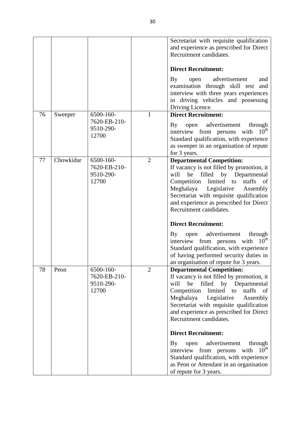|    |           |                                    |                | Secretariat with requisite qualification<br>and experience as prescribed for Direct<br>Recruitment candidates.                                                                                                                                                                              |
|----|-----------|------------------------------------|----------------|---------------------------------------------------------------------------------------------------------------------------------------------------------------------------------------------------------------------------------------------------------------------------------------------|
|    |           |                                    |                | <b>Direct Recruitment:</b>                                                                                                                                                                                                                                                                  |
|    |           |                                    |                | <b>By</b><br>advertisement<br>open<br>and<br>examination through skill test<br>and<br>interview with three years experiences<br>in driving vehicles and possessing<br>Driving Licence.                                                                                                      |
| 76 | Sweeper   | 6500-160-                          | $\mathbf{1}$   | <b>Direct Recruitment:</b>                                                                                                                                                                                                                                                                  |
|    |           | 7620-EB-210-<br>9510-290-<br>12700 |                | open advertisement<br>$\mathbf{B}\mathbf{y}$<br>through<br>$10^{\text{th}}$<br>interview from persons with<br>Standard qualification, with experience<br>as sweeper in an organisation of repute<br>for 3 years.                                                                            |
| 77 | Chowkidar | 6500-160-                          | $\overline{2}$ | <b>Departmental Competition:</b>                                                                                                                                                                                                                                                            |
|    |           | 7620-EB-210-<br>9510-290-<br>12700 |                | If vacancy is not filled by promotion, it<br>will<br>be<br>filled by Departmental<br>Competition<br>limited to<br>staffs<br>- of<br>Meghalaya Legislative<br>Assembly<br>Secretariat with requisite qualification<br>and experience as prescribed for Direct<br>Recruitment candidates.     |
|    |           |                                    |                | <b>Direct Recruitment:</b>                                                                                                                                                                                                                                                                  |
|    |           |                                    |                | advertisement<br>through<br>By<br>open<br>$10^{\rm th}$<br>interview from persons with<br>Standard qualification, with experience<br>of having performed security duties in<br>an organisation of repute for 3 years.                                                                       |
| 78 | Peon      | 6500-160-                          | $\overline{2}$ | <b>Departmental Competition:</b>                                                                                                                                                                                                                                                            |
|    |           | 7620-EB-210-<br>9510-290-<br>12700 |                | If vacancy is not filled by promotion, it<br>filled by Departmental<br>will<br>be<br>Competition<br>limited<br>staffs<br>to<br>of<br>Meghalaya<br>Legislative<br>Assembly<br>Secretariat with requisite qualification<br>and experience as prescribed for Direct<br>Recruitment candidates. |
|    |           |                                    |                | <b>Direct Recruitment:</b>                                                                                                                                                                                                                                                                  |
|    |           |                                    |                | advertisement<br>through<br>By<br>open<br>$10^{\text{th}}$<br>interview from persons with<br>Standard qualification, with experience<br>as Peon or Attendant in an organisation<br>of repute for 3 years.                                                                                   |